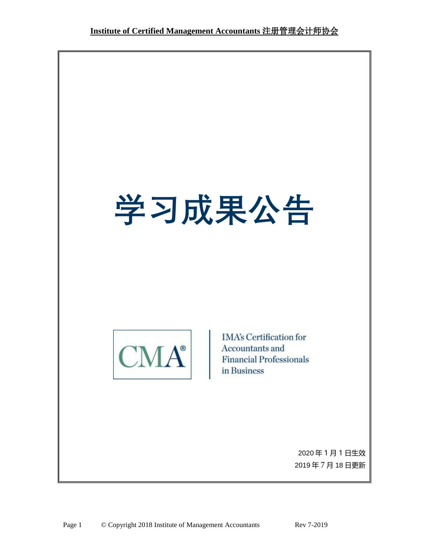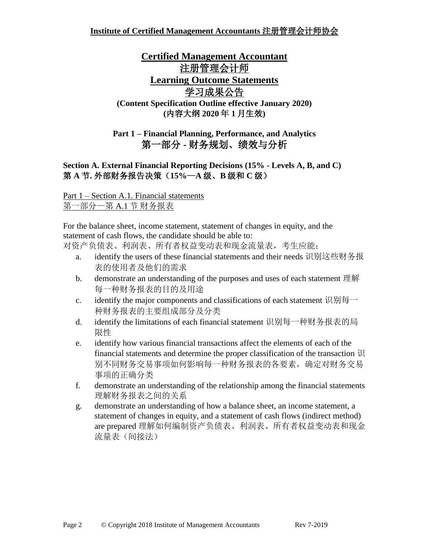## **Certified Management Accountant** 注册管理会计师 **Learning Outcome Statements** 学习成果公告 **(Content Specification Outline effective January 2020) (**内容大纲 **2020** 年 **1** 月生效**)**

## **Part 1 – Financial Planning, Performance, and Analytics**  第一部分 **-** 财务规划、绩效与分析

**Section A. External Financial Reporting Decisions (15% - Levels A, B, and C)** 第 **A** 节**.** 外部财务报告决策(**15%**—**A** 级、**B** 级和 **C** 级)

Part 1 – Section A.1. Financial statements 第一部分—第 A.1 节 财务报表

For the balance sheet, income statement, statement of changes in equity, and the statement of cash flows, the candidate should be able to:

对资产负债表、利润表、所有者权益变动表和现金流量表,考生应能:

- a. identify the users of these financial statements and their needs 识别这些财务报 表的使用者及他们的需求
- b. demonstrate an understanding of the purposes and uses of each statement 理解 每一种财务报表的目的及用途
- c. identify the major components and classifications of each statement 识别每一 种财务报表的主要组成部分及分类
- d. identify the limitations of each financial statement 识别每一种财务报表的局 限性
- e. identify how various financial transactions affect the elements of each of the financial statements and determine the proper classification of the transaction 识 别不同财务交易事项如何影响每一种财务报表的各要素,确定对财务交易 事项的正确分类
- f. demonstrate an understanding of the relationship among the financial statements 理解财务报表之间的关系
- g. demonstrate an understanding of how a balance sheet, an income statement, a statement of changes in equity, and a statement of cash flows (indirect method) are prepared 理解如何编制资产负债表、利润表、所有者权益变动表和现金 流量表(间接法)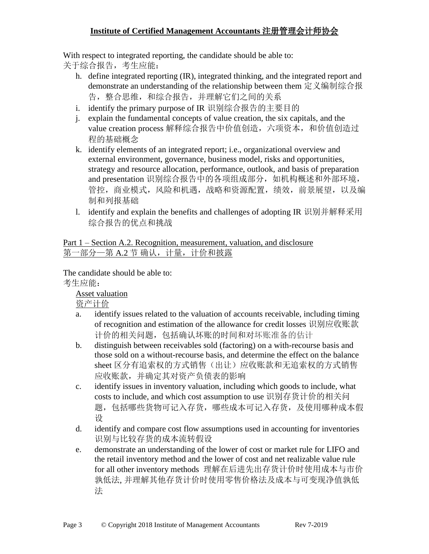With respect to integrated reporting, the candidate should be able to:

关于综合报告,考生应能:

- h. define integrated reporting (IR), integrated thinking, and the integrated report and demonstrate an understanding of the relationship between them 定义编制综合报 告,整合思维,和综合报告,并理解它们之间的关系
- i. identify the primary purpose of IR 识别综合报告的主要目的
- j. explain the fundamental concepts of value creation, the six capitals, and the value creation process 解释综合报告中价值创造, 六项资本, 和价值创造过 程的基础概念
- k. identify elements of an integrated report; i.e., organizational overview and external environment, governance, business model, risks and opportunities, strategy and resource allocation, performance, outlook, and basis of preparation and presentation 识别综合报告中的各项组成部分,如机构概述和外部环境, 管控,商业模式,风险和机遇,战略和资源配置,绩效,前景展望,以及编 制和列报基础
- l. identify and explain the benefits and challenges of adopting IR 识别并解释采用 综合报告的优点和挑战

Part 1 – Section A.2. Recognition, measurement, valuation, and disclosure 第一部分一第 A.2 节 确认, 计量, 计价和披露

The candidate should be able to: 考生应能:

Asset valuation

资产计价

- a. identify issues related to the valuation of accounts receivable, including timing of recognition and estimation of the allowance for credit losses 识别应收账款 计价的相关问题,包括确认坏账的时间和对坏账准备的估计
- b. distinguish between receivables sold (factoring) on a with-recourse basis and those sold on a without-recourse basis, and determine the effect on the balance sheet 区分有追索权的方式销售(出让)应收账款和无追索权的方式销售 应收账款,并确定其对资产负债表的影响
- c. identify issues in inventory valuation, including which goods to include, what costs to include, and which cost assumption to use 识别存货计价的相关问 题,包括哪些货物可记入存货,哪些成本可记入存货,及使用哪种成本假 设
- d. identify and compare cost flow assumptions used in accounting for inventories 识别与比较存货的成本流转假设
- e. demonstrate an understanding of the lower of cost or market rule for LIFO and the retail inventory method and the lower of cost and net realizable value rule for all other inventory methods 理解在后进先出存货计价时使用成本与市价 孰低法, 并理解其他存货计价时使用零售价格法及成本与可变现净值孰低 法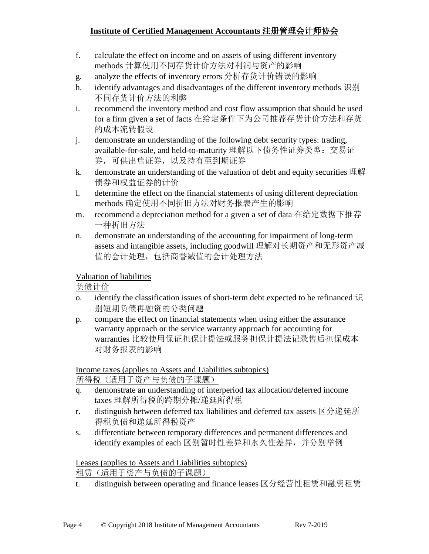- f. calculate the effect on income and on assets of using different inventory methods 计算使用不同存货计价方法对利润与资产的影响
- g. analyze the effects of inventory errors 分析存货计价错误的影响
- h. identify advantages and disadvantages of the different inventory methods 识别 不同存货计价方法的利弊
- i. recommend the inventory method and cost flow assumption that should be used for a firm given a set of facts 在给定条件下为公司推荐存货计价方法和存货 的成本流转假设
- j. demonstrate an understanding of the following debt security types: trading, available-for-sale, and held-to-maturity 理解以下债务性证券类型:交易证 券,可供出售证券,以及持有至到期证券
- k. demonstrate an understanding of the valuation of debt and equity securities 理解 债券和权益证券的计价
- l. determine the effect on the financial statements of using different depreciation methods 确定使用不同折旧方法对财务报表产生的影响
- m. recommend a depreciation method for a given a set of data 在给定数据下推荐 一种折旧方法
- n. demonstrate an understanding of the accounting for impairment of long-term assets and intangible assets, including goodwill 理解对长期资产和无形资产减 值的会计处理,包括商誉减值的会计处理方法

### Valuation of liabilities

负债计价

- o. identify the classification issues of short-term debt expected to be refinanced  $\mathcal{H}$ 别短期负债再融资的分类问题
- p. compare the effect on financial statements when using either the assurance warranty approach or the service warranty approach for accounting for warranties 比较使用保证担保计提法或服务担保计提法记录售后担保成本 对财务报表的影响

Income taxes (applies to Assets and Liabilities subtopics) 所得税(适用于资产与负债的子课题)

- q. demonstrate an understanding of interperiod tax allocation/deferred income taxes 理解所得税的跨期分摊/递延所得税
- r. distinguish between deferred tax liabilities and deferred tax assets  $\boxtimes \mathcal{B} \times \mathcal{B} \times \mathcal{B}$ 得税负债和递延所得税资产
- s. differentiate between temporary differences and permanent differences and identify examples of each 区别暂时性差异和永久性差异,并分别举例

Leases (applies to Assets and Liabilities subtopics) 租赁(适用于资产与负债的子课题)

t. distinguish between operating and finance leases 区分经营性租赁和融资租赁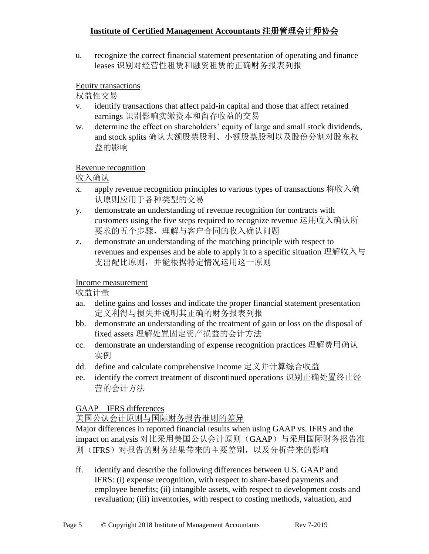u. recognize the correct financial statement presentation of operating and finance leases 识别对经营性租赁和融资租赁的正确财务报表列报

#### Equity transactions

权益性交易

- v. identify transactions that affect paid-in capital and those that affect retained earnings 识别影响实缴资本和留存收益的交易
- w. determine the effect on shareholders' equity of large and small stock dividends, and stock splits 确认大额股票股利、小额股票股利以及股份分割对股东权 益的影响

### Revenue recognition

收入确认

- x. apply revenue recognition principles to various types of transactions 将收入确 认原则应用于各种类型的交易
- y. demonstrate an understanding of revenue recognition for contracts with customers using the five steps required to recognize revenue 运用收入确认所 要求的五个步骤,理解与客户合同的收入确认问题
- z. demonstrate an understanding of the matching principle with respect to revenues and expenses and be able to apply it to a specific situation 理解收入与 支出配比原则,并能根据特定情况运用这一原则

## Income measurement

收益计量

- aa. define gains and losses and indicate the proper financial statement presentation 定义利得与损失并说明其正确的财务报表列报
- bb. demonstrate an understanding of the treatment of gain or loss on the disposal of fixed assets 理解处置固定资产损益的会计方法
- cc. demonstrate an understanding of expense recognition practices 理解费用确认 实例
- dd. define and calculate comprehensive income 定义并计算综合收益
- ee. identify the correct treatment of discontinued operations 识别正确处置终止经 营的会计方法

## GAAP – IFRS differences

## 美国公认会计原则与国际财务报告准则的差异

Major differences in reported financial results when using GAAP vs. IFRS and the impact on analysis 对比采用美国公认会计原则(GAAP)与采用国际财务报告准 则(IFRS)对报告的财务结果带来的主要差别,以及分析带来的影响

ff. identify and describe the following differences between U.S. GAAP and IFRS: (i) expense recognition, with respect to share-based payments and employee benefits; (ii) intangible assets, with respect to development costs and revaluation; (iii) inventories, with respect to costing methods, valuation, and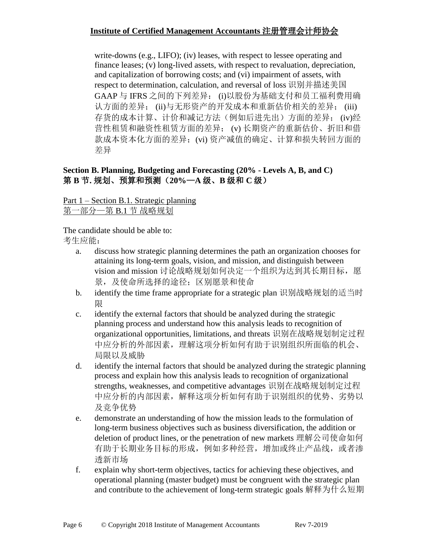write-downs (e.g., LIFO); (iv) leases, with respect to lessee operating and finance leases; (v) long-lived assets, with respect to revaluation, depreciation, and capitalization of borrowing costs; and (vi) impairment of assets, with respect to determination, calculation, and reversal of loss 识别并描述美国 GAAP 与 IFRS 之间的下列差异: (i)以股份为基础支付和员工福利费用确 认方面的差异; (ii)与无形资产的开发成本和重新估价相关的差异; (iii) 存货的成本计算、计价和减记方法(例如后进先出)方面的差异; (iv)经 营性租赁和融资性租赁方面的差异; (v) 长期资产的重新估价、折旧和借 款成本资本化方面的差异;(vi) 资产减值的确定、计算和损失转回方面的 差异

#### **Section B. Planning, Budgeting and Forecasting (20% - Levels A, B, and C)** 第 **B** 节**.** 规划、预算和预测(**20%**—**A** 级、**B** 级和 **C** 级)

# Part 1 – Section B.1. Strategic planning

第一部分—第 B.1 节 战略规划

The candidate should be able to:

- a. discuss how strategic planning determines the path an organization chooses for attaining its long-term goals, vision, and mission, and distinguish between vision and mission 讨论战略规划如何决定一个组织为达到其长期目标,愿 景,及使命所选择的途径;区别愿景和使命
- b. identify the time frame appropriate for a strategic plan 识别战略规划的适当时 限
- c. identify the external factors that should be analyzed during the strategic planning process and understand how this analysis leads to recognition of organizational opportunities, limitations, and threats 识别在战略规划制定过程 中应分析的外部因素,理解这项分析如何有助于识别组织所面临的机会、 局限以及威胁
- d. identify the internal factors that should be analyzed during the strategic planning process and explain how this analysis leads to recognition of organizational strengths, weaknesses, and competitive advantages 识别在战略规划制定过程 中应分析的内部因素,解释这项分析如何有助于识别组织的优势、劣势以 及竞争优势
- e. demonstrate an understanding of how the mission leads to the formulation of long-term business objectives such as business diversification, the addition or deletion of product lines, or the penetration of new markets 理解公司使命如何 有助于长期业务目标的形成,例如多种经营,增加或终止产品线,或者渗 透新市场
- f. explain why short-term objectives, tactics for achieving these objectives, and operational planning (master budget) must be congruent with the strategic plan and contribute to the achievement of long-term strategic goals 解释为什么短期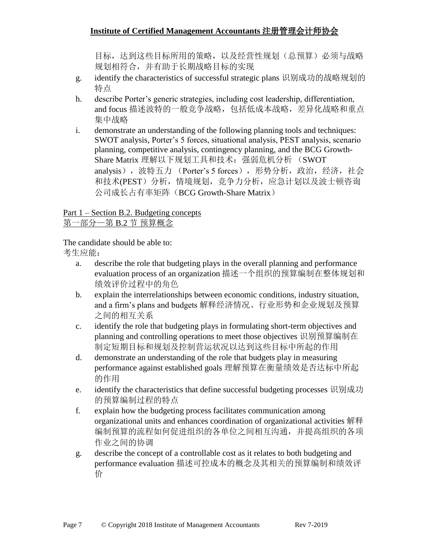目标,达到这些目标所用的策略,以及经营性规划(总预算)必须与战略 规划相符合,并有助于长期战略目标的实现

- g. identify the characteristics of successful strategic plans 识别成功的战略规划的 特点
- h. describe Porter's generic strategies, including cost leadership, differentiation, and focus 描述波特的一般竞争战略,包括低成本战略,差异化战略和重点 集中战略
- i. demonstrate an understanding of the following planning tools and techniques: SWOT analysis, Porter's 5 forces, situational analysis, PEST analysis, scenario planning, competitive analysis, contingency planning, and the BCG Growth-Share Matrix 理解以下规划工具和技术: 强弱危机分析 (SWOT analysis),波特五力 (Porter's 5 forces),形势分析,政治,经济,社会 和技术(PEST)分析,情境规划,竞争力分析,应急计划以及波士顿咨询 公司成长占有率矩阵(BCG Growth-Share Matrix)

Part 1 – Section B.2. Budgeting concepts

第一部分—第 B.2 节 预算概念

The candidate should be able to:

- a. describe the role that budgeting plays in the overall planning and performance evaluation process of an organization 描述一个组织的预算编制在整体规划和 绩效评价过程中的角色
- b. explain the interrelationships between economic conditions, industry situation, and a firm's plans and budgets 解释经济情况、行业形势和企业规划及预算 之间的相互关系
- c. identify the role that budgeting plays in formulating short-term objectives and planning and controlling operations to meet those objectives 识别预算编制在 制定短期目标和规划及控制营运状况以达到这些目标中所起的作用
- d. demonstrate an understanding of the role that budgets play in measuring performance against established goals 理解预算在衡量绩效是否达标中所起 的作用
- e. identify the characteristics that define successful budgeting processes 识别成功 的预算编制过程的特点
- f. explain how the budgeting process facilitates communication among organizational units and enhances coordination of organizational activities 解释 编制预算的流程如何促进组织的各单位之间相互沟通,并提高组织的各项 作业之间的协调
- g. describe the concept of a controllable cost as it relates to both budgeting and performance evaluation 描述可控成本的概念及其相关的预算编制和绩效评 价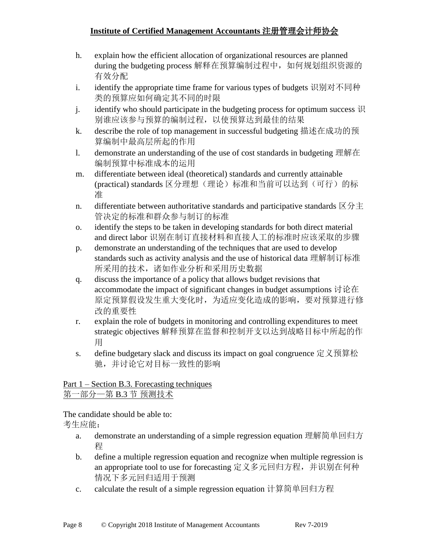- h. explain how the efficient allocation of organizational resources are planned during the budgeting process 解释在预算编制过程中, 如何规划组织资源的 有效分配
- i. identify the appropriate time frame for various types of budgets 识别对不同种 类的预算应如何确定其不同的时限
- i. identify who should participate in the budgeting process for optimum success  $\mathcal{H}$ 别谁应该参与预算的编制过程,以使预算达到最佳的结果
- k. describe the role of top management in successful budgeting 描述在成功的预 算编制中最高层所起的作用
- l. demonstrate an understanding of the use of cost standards in budgeting 理解在 编制预算中标准成本的运用
- m. differentiate between ideal (theoretical) standards and currently attainable (practical) standards 区分理想(理论)标准和当前可以达到(可行)的标 准
- n. differentiate between authoritative standards and participative standards  $\overline{X}$  分主 管决定的标准和群众参与制订的标准
- o. identify the steps to be taken in developing standards for both direct material and direct labor 识别在制订直接材料和直接人工的标准时应该采取的步骤
- p. demonstrate an understanding of the techniques that are used to develop standards such as activity analysis and the use of historical data 理解制订标准 所采用的技术,诸如作业分析和采用历史数据
- q. discuss the importance of a policy that allows budget revisions that accommodate the impact of significant changes in budget assumptions 讨论在 原定预算假设发生重大变化时,为适应变化造成的影响,要对预算进行修 改的重要性
- r. explain the role of budgets in monitoring and controlling expenditures to meet strategic objectives 解释预算在监督和控制开支以达到战略目标中所起的作 用
- s. define budgetary slack and discuss its impact on goal congruence 定义预算松 驰,并讨论它对目标一致性的影响

### Part 1 – Section B.3. Forecasting techniques 第一部分—第 B.3 节 预测技术

- a. demonstrate an understanding of a simple regression equation 理解简单回归方 程
- b. define a multiple regression equation and recognize when multiple regression is an appropriate tool to use for forecasting 定义多元回归方程,并识别在何种 情况下多元回归适用于预测
- c. calculate the result of a simple regression equation 计算简单回归方程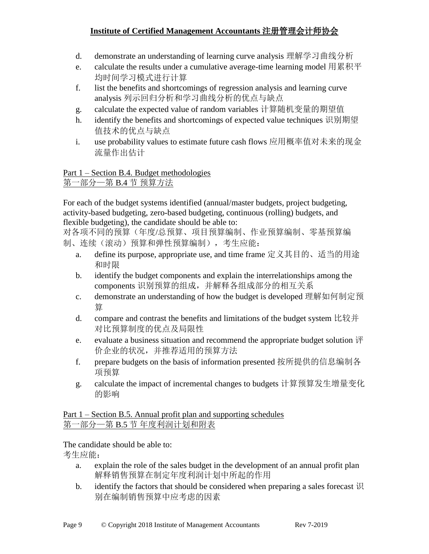- d. demonstrate an understanding of learning curve analysis 理解学习曲线分析
- e. calculate the results under a cumulative average-time learning model 用累积平 均时间学习模式进行计算
- f. list the benefits and shortcomings of regression analysis and learning curve analysis 列示回归分析和学习曲线分析的优点与缺点
- g. calculate the expected value of random variables 计算随机变量的期望值
- h. identify the benefits and shortcomings of expected value techniques 识别期望 值技术的优点与缺点
- i. use probability values to estimate future cash flows 应用概率值对未来的现金 流量作出估计

#### Part 1 – Section B.4. Budget methodologies 第一部分—第 B.4 节 预算方法

For each of the budget systems identified (annual/master budgets, project budgeting, activity-based budgeting, zero-based budgeting, continuous (rolling) budgets, and flexible budgeting), the candidate should be able to:

对各项不同的预算(年度/总预算、项目预算编制、作业预算编制、零基预算编 制、连续(滚动)预算和弹性预算编制),考生应能:

- a. define its purpose, appropriate use, and time frame 定义其目的、适当的用途 和时限
- b. identify the budget components and explain the interrelationships among the components 识别预算的组成,并解释各组成部分的相互关系
- c. demonstrate an understanding of how the budget is developed 理解如何制定预 算
- d. compare and contrast the benefits and limitations of the budget system 比较并 对比预算制度的优点及局限性
- e. evaluate a business situation and recommend the appropriate budget solution  $\mathbb{H}$ 价企业的状况,并推荐适用的预算方法
- f. prepare budgets on the basis of information presented 按所提供的信息编制各 项预算
- g. calculate the impact of incremental changes to budgets 计算预算发生增量变化 的影响

Part 1 – Section B.5. Annual profit plan and supporting schedules 第一部分—第 B.5 节 年度利润计划和附表

- a. explain the role of the sales budget in the development of an annual profit plan 解释销售预算在制定年度利润计划中所起的作用
- b. identify the factors that should be considered when preparing a sales forecast  $\mathcal{R}$ 别在编制销售预算中应考虑的因素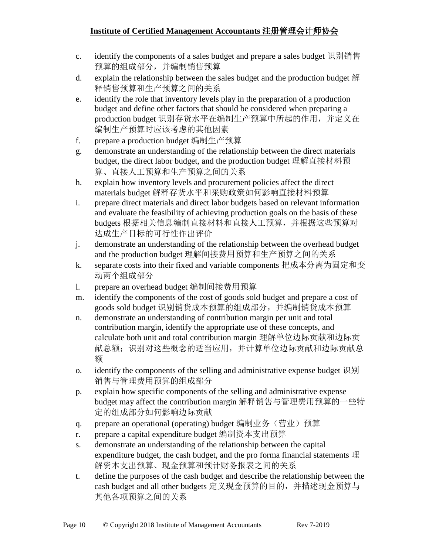- c. identify the components of a sales budget and prepare a sales budget 识别销售 预算的组成部分,并编制销售预算
- d. explain the relationship between the sales budget and the production budget 解 释销售预算和生产预算之间的关系
- e. identify the role that inventory levels play in the preparation of a production budget and define other factors that should be considered when preparing a production budget 识别存货水平在编制生产预算中所起的作用,并定义在 编制生产预算时应该考虑的其他因素
- f. prepare a production budget 编制生产预算
- g. demonstrate an understanding of the relationship between the direct materials budget, the direct labor budget, and the production budget 理解直接材料预 算、直接人工预算和生产预算之间的关系
- h. explain how inventory levels and procurement policies affect the direct materials budget 解释存货水平和采购政策如何影响直接材料预算
- i. prepare direct materials and direct labor budgets based on relevant information and evaluate the feasibility of achieving production goals on the basis of these budgets 根据相关信息编制直接材料和直接人工预算,并根据这些预算对 达成生产目标的可行性作出评价
- j. demonstrate an understanding of the relationship between the overhead budget and the production budget 理解间接费用预算和生产预算之间的关系
- k. separate costs into their fixed and variable components 把成本分离为固定和变 动两个组成部分
- l. prepare an overhead budget 编制间接费用预算
- m. identify the components of the cost of goods sold budget and prepare a cost of goods sold budget 识别销货成本预算的组成部分,并编制销货成本预算
- n. demonstrate an understanding of contribution margin per unit and total contribution margin, identify the appropriate use of these concepts, and calculate both unit and total contribution margin 理解单位边际贡献和边际贡 献总额;识别对这些概念的适当应用,并计算单位边际贡献和边际贡献总 额
- o. identify the components of the selling and administrative expense budget 识别 销售与管理费用预算的组成部分
- p. explain how specific components of the selling and administrative expense budget may affect the contribution margin 解释销售与管理费用预算的一些特 定的组成部分如何影响边际贡献
- q. prepare an operational (operating) budget 编制业务 (营业) 预算
- r. prepare a capital expenditure budget 编制资本支出预算
- s. demonstrate an understanding of the relationship between the capital expenditure budget, the cash budget, and the pro forma financial statements 理 解资本支出预算、现金预算和预计财务报表之间的关系
- t. define the purposes of the cash budget and describe the relationship between the cash budget and all other budgets 定义现金预算的目的,并描述现金预算与 其他各项预算之间的关系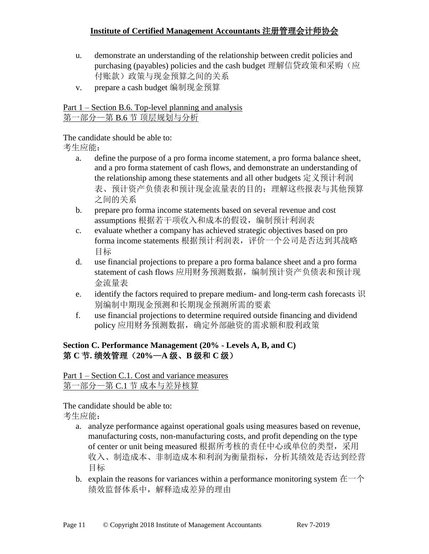- u. demonstrate an understanding of the relationship between credit policies and purchasing (payables) policies and the cash budget 理解信贷政策和采购(应 付账款)政策与现金预算之间的关系
- v. prepare a cash budget 编制现金预算

Part 1 – Section B.6. Top-level planning and analysis 第一部分—第 B.6 节 顶层规划与分析

The candidate should be able to:

考生应能:

- a. define the purpose of a pro forma income statement, a pro forma balance sheet, and a pro forma statement of cash flows, and demonstrate an understanding of the relationship among these statements and all other budgets 定义预计利润 表、预计资产负债表和预计现金流量表的目的;理解这些报表与其他预算 之间的关系
- b. prepare pro forma income statements based on several revenue and cost assumptions 根据若干项收入和成本的假设, 编制预计利润表
- c. evaluate whether a company has achieved strategic objectives based on pro forma income statements 根据预计利润表, 评价一个公司是否达到其战略 目标
- d. use financial projections to prepare a pro forma balance sheet and a pro forma statement of cash flows 应用财务预测数据, 编制预计资产负债表和预计现 金流量表
- e. identify the factors required to prepare medium- and long-term cash forecasts 识 别编制中期现金预测和长期现金预测所需的要素
- f. use financial projections to determine required outside financing and dividend policy 应用财务预测数据,确定外部融资的需求额和股利政策

### **Section C. Performance Management (20% - Levels A, B, and C)** 第 **C** 节**.** 绩效管理(**20%**—**A** 级、**B** 级和 **C** 级)

Part 1 – Section C.1. Cost and variance measures 第一部分—第 C.1 节 成本与差异核算

- a. analyze performance against operational goals using measures based on revenue, manufacturing costs, non-manufacturing costs, and profit depending on the type of center or unit being measured 根据所考核的责任中心或单位的类型,采用 收入、制造成本、非制造成本和利润为衡量指标,分析其绩效是否达到经营 目标
- b. explain the reasons for variances within a performance monitoring system 在一个 绩效监督体系中,解释造成差异的理由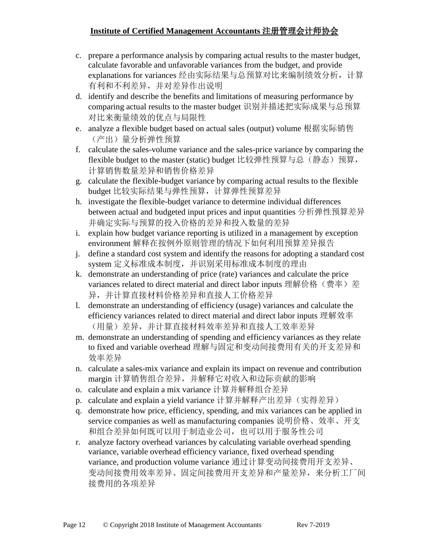- c. prepare a performance analysis by comparing actual results to the master budget, calculate favorable and unfavorable variances from the budget, and provide explanations for variances 经由实际结果与总预算对比来编制绩效分析,计算 有利和不利差异,并对差异作出说明
- d. identify and describe the benefits and limitations of measuring performance by comparing actual results to the master budget 识别并描述把实际成果与总预算 对比来衡量绩效的优点与局限性
- e. analyze a flexible budget based on actual sales (output) volume 根据实际销售 (产出)量分析弹性预算
- f. calculate the sales-volume variance and the sales-price variance by comparing the flexible budget to the master (static) budget 比较弹性预算与总(静态)预算, 计算销售数量差异和销售价格差异
- g. calculate the flexible-budget variance by comparing actual results to the flexible budget 比较实际结果与弹性预算,计算弹性预算差异
- h. investigate the flexible-budget variance to determine individual differences between actual and budgeted input prices and input quantities 分析弹性预算差异 并确定实际与预算的投入价格的差异和投入数量的差异
- i. explain how budget variance reporting is utilized in a management by exception environment 解释在按例外原则管理的情况下如何利用预算差异报告
- j. define a standard cost system and identify the reasons for adopting a standard cost system 定义标准成本制度,并识别采用标准成本制度的理由
- k. demonstrate an understanding of price (rate) variances and calculate the price variances related to direct material and direct labor inputs 理解价格(费率)差 异,并计算直接材料价格差异和直接人工价格差异
- l. demonstrate an understanding of efficiency (usage) variances and calculate the efficiency variances related to direct material and direct labor inputs 理解效率 (用量)差异,并计算直接材料效率差异和直接人工效率差异
- m. demonstrate an understanding of spending and efficiency variances as they relate to fixed and variable overhead 理解与固定和变动间接费用有关的开支差异和 效率差异
- n. calculate a sales-mix variance and explain its impact on revenue and contribution margin 计算销售组合差异,并解释它对收入和边际贡献的影响
- o. calculate and explain a mix variance 计算并解释组合差异
- p. calculate and explain a yield variance 计算并解释产出差异(实得差异)
- q. demonstrate how price, efficiency, spending, and mix variances can be applied in service companies as well as manufacturing companies 说明价格、效率、开支 和组合差异如何既可以用于制造业公司,也可以用于服务性公司
- r. analyze factory overhead variances by calculating variable overhead spending variance, variable overhead efficiency variance, fixed overhead spending variance, and production volume variance 通过计算变动间接费用开支差异、 变动间接费用效率差异、固定间接费用开支差异和产量差异,来分析工厂间 接费用的各项差异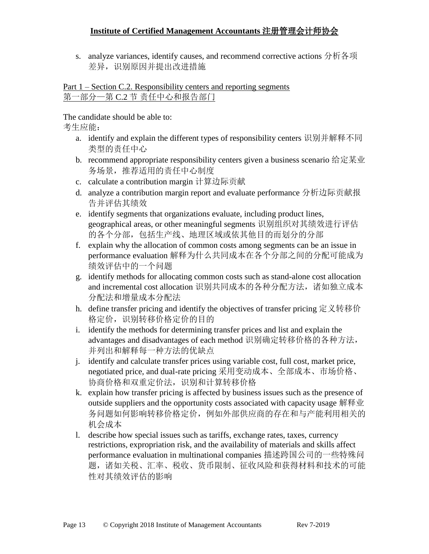s. analyze variances, identify causes, and recommend corrective actions 分析各项 差异, 识别原因并提出改进措施

#### Part 1 – Section C.2. Responsibility centers and reporting segments 第一部分—第 C.2 节 责任中心和报告部门

The candidate should be able to:

- a. identify and explain the different types of responsibility centers 识别并解释不同 类型的责任中心
- b. recommend appropriate responsibility centers given a business scenario 给定某业 务场景,推荐适用的责任中心制度
- c. calculate a contribution margin 计算边际贡献
- d. analyze a contribution margin report and evaluate performance 分析边际贡献报 告并评估其绩效
- e. identify segments that organizations evaluate, including product lines, geographical areas, or other meaningful segments 识别组织对其绩效进行评估 的各个分部,包括生产线、地理区域或依其他目的而划分的分部
- f. explain why the allocation of common costs among segments can be an issue in performance evaluation 解释为什么共同成本在各个分部之间的分配可能成为 绩效评估中的一个问题
- g. identify methods for allocating common costs such as stand-alone cost allocation and incremental cost allocation 识别共同成本的各种分配方法,诸如独立成本 分配法和增量成本分配法
- h. define transfer pricing and identify the objectives of transfer pricing 定义转移价 格定价,识别转移价格定价的目的
- i. identify the methods for determining transfer prices and list and explain the advantages and disadvantages of each method 识别确定转移价格的各种方法, 并列出和解释每一种方法的优缺点
- j. identify and calculate transfer prices using variable cost, full cost, market price, negotiated price, and dual-rate pricing 采用变动成本、全部成本、市场价格、 协商价格和双重定价法,识别和计算转移价格
- k. explain how transfer pricing is affected by business issues such as the presence of outside suppliers and the opportunity costs associated with capacity usage 解释业 务问题如何影响转移价格定价,例如外部供应商的存在和与产能利用相关的 机会成本
- l. describe how special issues such as tariffs, exchange rates, taxes, currency restrictions, expropriation risk, and the availability of materials and skills affect performance evaluation in multinational companies 描述跨国公司的一些特殊问 题,诸如关税、汇率、税收、货币限制、征收风险和获得材料和技术的可能 性对其绩效评估的影响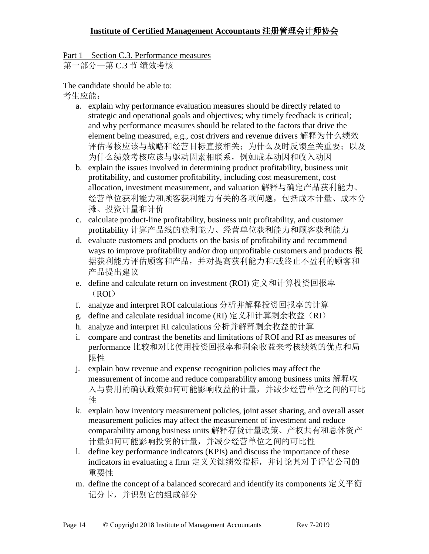Part 1 – Section C.3. Performance measures 第一部分—第 C.3 节 绩效考核

- a. explain why performance evaluation measures should be directly related to strategic and operational goals and objectives; why timely feedback is critical; and why performance measures should be related to the factors that drive the element being measured, e.g., cost drivers and revenue drivers 解释为什么绩效 评估考核应该与战略和经营目标直接相关;为什么及时反馈至关重要;以及 为什么绩效考核应该与驱动因素相联系,例如成本动因和收入动因
- b. explain the issues involved in determining product profitability, business unit profitability, and customer profitability, including cost measurement, cost allocation, investment measurement, and valuation 解释与确定产品获利能力、 经营单位获利能力和顾客获利能力有关的各项问题,包括成本计量、成本分 摊、投资计量和计价
- c. calculate product-line profitability, business unit profitability, and customer profitability 计算产品线的获利能力、经营单位获利能力和顾客获利能力
- d. evaluate customers and products on the basis of profitability and recommend ways to improve profitability and/or drop unprofitable customers and products 根 据获利能力评估顾客和产品,并对提高获利能力和/或终止不盈利的顾客和 产品提出建议
- e. define and calculate return on investment (ROI) 定义和计算投资回报率 (ROI)
- f. analyze and interpret ROI calculations 分析并解释投资回报率的计算
- g. define and calculate residual income (RI) 定义和计算剩余收益(RI)
- h. analyze and interpret RI calculations 分析并解释剩余收益的计算
- i. compare and contrast the benefits and limitations of ROI and RI as measures of performance 比较和对比使用投资回报率和剩余收益来考核绩效的优点和局 限性
- j. explain how revenue and expense recognition policies may affect the measurement of income and reduce comparability among business units 解释收 入与费用的确认政策如何可能影响收益的计量,并减少经营单位之间的可比 性
- k. explain how inventory measurement policies, joint asset sharing, and overall asset measurement policies may affect the measurement of investment and reduce comparability among business units 解释存货计量政策、产权共有和总体资产 计量如何可能影响投资的计量,并减少经营单位之间的可比性
- l. define key performance indicators (KPIs) and discuss the importance of these indicators in evaluating a firm 定义关键绩效指标,并讨论其对于评估公司的 重要性
- m. define the concept of a balanced scorecard and identify its components  $\forall \forall \mathbf{\Psi}$ 记分卡,并识别它的组成部分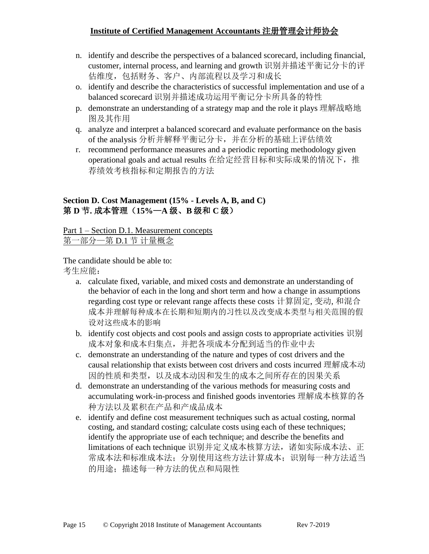- n. identify and describe the perspectives of a balanced scorecard, including financial, customer, internal process, and learning and growth 识别并描述平衡记分卡的评 估维度,包括财务、客户、内部流程以及学习和成长
- o. identify and describe the characteristics of successful implementation and use of a balanced scorecard 识别并描述成功运用平衡记分卡所具备的特性
- p. demonstrate an understanding of a strategy map and the role it plays 理解战略地 图及其作用
- q. analyze and interpret a balanced scorecard and evaluate performance on the basis of the analysis 分析并解释平衡记分卡,并在分析的基础上评估绩效
- r. recommend performance measures and a periodic reporting methodology given operational goals and actual results 在给定经营目标和实际成果的情况下, 推 荐绩效考核指标和定期报告的方法

#### **Section D. Cost Management (15% - Levels A, B, and C)** 第 **D** 节**.** 成本管理(**15%**—**A** 级、**B** 级和 **C** 级)

Part 1 – Section D.1. Measurement concepts 第一部分—第 D.1 节 计量概念

- a. calculate fixed, variable, and mixed costs and demonstrate an understanding of the behavior of each in the long and short term and how a change in assumptions regarding cost type or relevant range affects these costs 计算固定, 变动, 和混合 成本并理解每种成本在长期和短期内的习性以及改变成本类型与相关范围的假 设对这些成本的影响
- b. identify cost objects and cost pools and assign costs to appropriate activities 识别 成本对象和成本归集点,并把各项成本分配到适当的作业中去
- c. demonstrate an understanding of the nature and types of cost drivers and the causal relationship that exists between cost drivers and costs incurred 理解成本动 因的性质和类型,以及成本动因和发生的成本之间所存在的因果关系
- d. demonstrate an understanding of the various methods for measuring costs and accumulating work-in-process and finished goods inventories 理解成本核算的各 种方法以及累积在产品和产成品成本
- e. identify and define cost measurement techniques such as actual costing, normal costing, and standard costing; calculate costs using each of these techniques; identify the appropriate use of each technique; and describe the benefits and limitations of each technique 识别并定义成本核算方法,诸如实际成本法、正 常成本法和标准成本;分别使用这些方法计算成本; 识别每一种方法适当 的用途;描述每一种方法的优点和局限性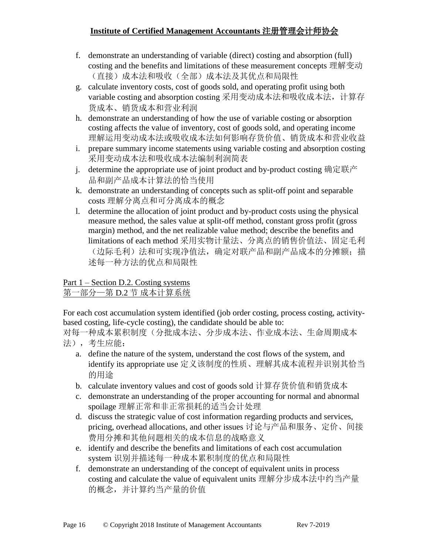- f. demonstrate an understanding of variable (direct) costing and absorption (full) costing and the benefits and limitations of these measurement concepts 理解变动 (直接)成本法和吸收(全部)成本法及其优点和局限性
- g. calculate inventory costs, cost of goods sold, and operating profit using both variable costing and absorption costing 采用变动成本法和吸收成本法,计算存 货成本、销货成本和营业利润
- h. demonstrate an understanding of how the use of variable costing or absorption costing affects the value of inventory, cost of goods sold, and operating income 理解运用变动成本法或吸收成本法如何影响存货价值、销货成本和营业收益
- i. prepare summary income statements using variable costing and absorption costing 采用变动成本法和吸收成本法编制利润简表
- j. determine the appropriate use of joint product and by-product costing 确定联产 品和副产品成本计算法的恰当使用
- k. demonstrate an understanding of concepts such as split-off point and separable costs 理解分离点和可分离成本的概念
- l. determine the allocation of joint product and by-product costs using the physical measure method, the sales value at split-off method, constant gross profit (gross margin) method, and the net realizable value method; describe the benefits and limitations of each method 采用实物计量法、分离点的销售价值法、固定毛利 (边际毛利)法和可实现净值法,确定对联产品和副产品成本的分摊额;描 述每一种方法的优点和局限性

#### Part 1 – Section D.2. Costing systems 第一部分—第 D.2 节 成本计算系统

For each cost accumulation system identified (job order costing, process costing, activitybased costing, life-cycle costing), the candidate should be able to:

对每一种成本累积制度(分批成本法、分步成本法、作业成本法、生命周期成本 法),考生应能:

- a. define the nature of the system, understand the cost flows of the system, and identify its appropriate use 定义该制度的性质、理解其成本流程并识别其恰当 的用途
- b. calculate inventory values and cost of goods sold 计算存货价值和销货成本
- c. demonstrate an understanding of the proper accounting for normal and abnormal spoilage 理解正常和非正常损耗的适当会计处理
- d. discuss the strategic value of cost information regarding products and services, pricing, overhead allocations, and other issues 讨论与产品和服务、定价、间接 费用分摊和其他问题相关的成本信息的战略意义
- e. identify and describe the benefits and limitations of each cost accumulation system 识别并描述每一种成本累积制度的优点和局限性
- f. demonstrate an understanding of the concept of equivalent units in process costing and calculate the value of equivalent units 理解分步成本法中约当产量 的概念,并计算约当产量的价值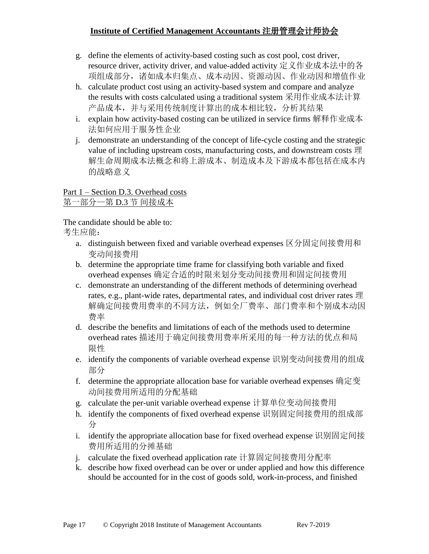- g. define the elements of activity-based costing such as cost pool, cost driver, resource driver, activity driver, and value-added activity 定义作业成本法中的各 项组成部分,诸如成本归集点、成本动因、资源动因、作业动因和增值作业
- h. calculate product cost using an activity-based system and compare and analyze the results with costs calculated using a traditional system 采用作业成本法计算 产品成本,并与采用传统制度计算出的成本相比较,分析其结果
- i. explain how activity-based costing can be utilized in service firms 解释作业成本 法如何应用于服务性企业
- j. demonstrate an understanding of the concept of life-cycle costing and the strategic value of including upstream costs, manufacturing costs, and downstream costs 理 解生命周期成本法概念和将上游成本、制造成本及下游成本都包括在成本内 的战略意义

Part 1 – Section D.3. Overhead costs 第一部分—第 D.3 节 间接成本

- a. distinguish between fixed and variable overhead expenses 区分固定间接费用和 变动间接费用
- b. determine the appropriate time frame for classifying both variable and fixed overhead expenses 确定合适的时限来划分变动间接费用和固定间接费用
- c. demonstrate an understanding of the different methods of determining overhead rates, e.g., plant-wide rates, departmental rates, and individual cost driver rates 理 解确定间接费用费率的不同方法,例如全厂费率、部门费率和个别成本动因 费率
- d. describe the benefits and limitations of each of the methods used to determine overhead rates 描述用于确定间接费用费率所采用的每一种方法的优点和局 限性
- e. identify the components of variable overhead expense 识别变动间接费用的组成 部分
- f. determine the appropriate allocation base for variable overhead expenses 确定变 动间接费用所适用的分配基础
- g. calculate the per-unit variable overhead expense 计算单位变动间接费用
- h. identify the components of fixed overhead expense 识别固定间接费用的组成部 分
- i. identify the appropriate allocation base for fixed overhead expense 识别固定间接 费用所适用的分摊基础
- j. calculate the fixed overhead application rate 计算固定间接费用分配率
- k. describe how fixed overhead can be over or under applied and how this difference should be accounted for in the cost of goods sold, work-in-process, and finished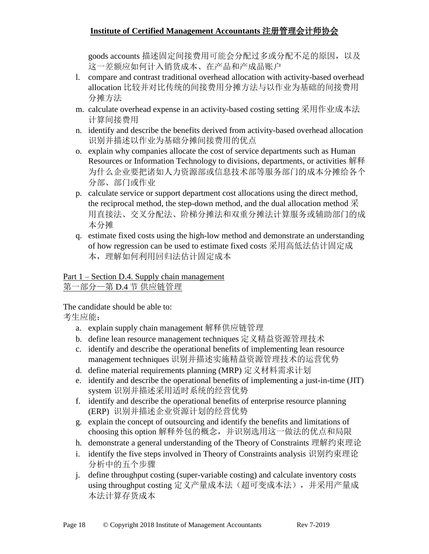goods accounts 描述固定间接费用可能会分配过多或分配不足的原因, 以及 这一差额应如何计入销货成本、在产品和产成品账户

- l. compare and contrast traditional overhead allocation with activity-based overhead allocation 比较并对比传统的间接费用分摊方法与以作业为基础的间接费用 分摊方法
- m. calculate overhead expense in an activity-based costing setting 采用作业成本法 计算间接费用
- n. identify and describe the benefits derived from activity-based overhead allocation 识别并描述以作业为基础分摊间接费用的优点
- o. explain why companies allocate the cost of service departments such as Human Resources or Information Technology to divisions, departments, or activities 解释 为什么企业要把诸如人力资源部或信息技术部等服务部门的成本分摊给各个 分部、部门或作业
- p. calculate service or support department cost allocations using the direct method, the reciprocal method, the step-down method, and the dual allocation method  $\mathcal{R}$ 用直接法、交叉分配法、阶梯分摊法和双重分摊法计算服务或辅助部门的成 本分摊
- q. estimate fixed costs using the high-low method and demonstrate an understanding of how regression can be used to estimate fixed costs 采用高低法估计固定成 本,理解如何利用回归法估计固定成本

### Part 1 – Section D.4. Supply chain management 第一部分—第 D.4 节 供应链管理

The candidate should be able to:

- a. explain supply chain management 解释供应链管理
- b. define lean resource management techniques 定义精益资源管理技术
- c. identify and describe the operational benefits of implementing lean resource management techniques 识别并描述实施精益资源管理技术的运营优势
- d. define material requirements planning (MRP) 定义材料需求计划
- e. identify and describe the operational benefits of implementing a just-in-time (JIT) system 识别并描述采用适时系统的经营优势
- f. identify and describe the operational benefits of enterprise resource planning (ERP) 识别并描述企业资源计划的经营优势
- g. explain the concept of outsourcing and identify the benefits and limitations of choosing this option 解释外包的概念,并识别选用这一做法的优点和局限
- h. demonstrate a general understanding of the Theory of Constraints 理解约束理论
- i. identify the five steps involved in Theory of Constraints analysis 识别约束理论 分析中的五个步骤
- j. define throughput costing (super-variable costing) and calculate inventory costs using throughput costing 定义产量成本法(超可变成本法), 并采用产量成 本法计算存货成本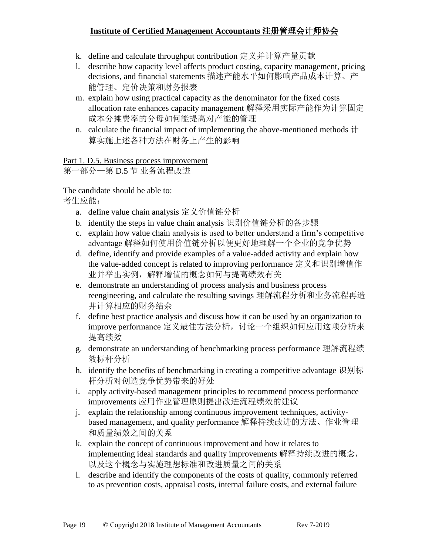- k. define and calculate throughput contribution 定义并计算产量贡献
- l. describe how capacity level affects product costing, capacity management, pricing decisions, and financial statements 描述产能水平如何影响产品成本计算、产 能管理、定价决策和财务报表
- m. explain how using practical capacity as the denominator for the fixed costs allocation rate enhances capacity management 解释采用实际产能作为计算固定 成本分摊费率的分母如何能提高对产能的管理
- n. calculate the financial impact of implementing the above-mentioned methods  $\ddot{\tau}$ 算实施上述各种方法在财务上产生的影响

#### Part 1. D.5. Business process improvement 第一部分—第 D.5 节 业务流程改进

The candidate should be able to:

- a. define value chain analysis 定义价值链分析
- b. identify the steps in value chain analysis 识别价值链分析的各步骤
- c. explain how value chain analysis is used to better understand a firm's competitive advantage 解释如何使用价值链分析以便更好地理解一个企业的竞争优势
- d. define, identify and provide examples of a value-added activity and explain how the value-added concept is related to improving performance 定义和识别增值作 业并举出实例,解释增值的概念如何与提高绩效有关
- e. demonstrate an understanding of process analysis and business process reengineering, and calculate the resulting savings 理解流程分析和业务流程再造 并计算相应的财务结余
- f. define best practice analysis and discuss how it can be used by an organization to improve performance 定义最佳方法分析, 讨论一个组织如何应用这项分析来 提高绩效
- g. demonstrate an understanding of benchmarking process performance 理解流程绩 效标杆分析
- h. identify the benefits of benchmarking in creating a competitive advantage 识别标 杆分析对创造竞争优势带来的好处
- i. apply activity-based management principles to recommend process performance improvements 应用作业管理原则提出改进流程绩效的建议
- j. explain the relationship among continuous improvement techniques, activitybased management, and quality performance 解释持续改进的方法、作业管理 和质量绩效之间的关系
- k. explain the concept of continuous improvement and how it relates to implementing ideal standards and quality improvements 解释持续改进的概念, 以及这个概念与实施理想标准和改进质量之间的关系
- l. describe and identify the components of the costs of quality, commonly referred to as prevention costs, appraisal costs, internal failure costs, and external failure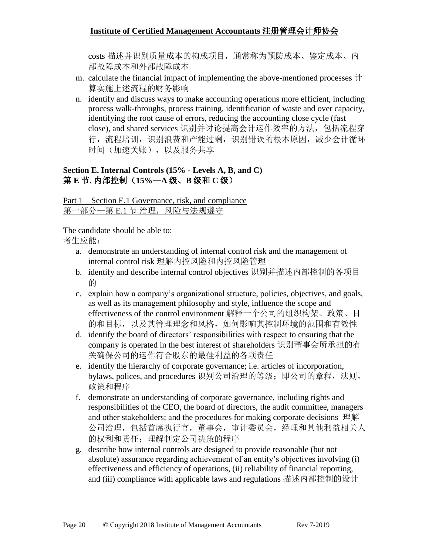costs 描述并识别质量成本的构成项目,通常称为预防成本、鉴定成本、内 部故障成本和外部故障成本

- m. calculate the financial impact of implementing the above-mentioned processes 计 算实施上述流程的财务影响
- n. identify and discuss ways to make accounting operations more efficient, including process walk-throughs, process training, identification of waste and over capacity, identifying the root cause of errors, reducing the accounting close cycle (fast close), and shared services 识别并讨论提高会计运作效率的方法,包括流程穿 行,流程培训,识别浪费和产能过剩,识别错误的根本原因,减少会计循环 时间(加速关账),以及服务共享

#### **Section E. Internal Controls (15% - Levels A, B, and C)**  第 **E** 节**.** 内部控制(**15%**—**A** 级、**B** 级和 **C** 级)

Part 1 – Section E.1 Governance, risk, and compliance 第一部分一第 E.1 节 治理, 风险与法规遵守

The candidate should be able to:

- a. demonstrate an understanding of internal control risk and the management of internal control risk 理解内控风险和内控风险管理
- b. identify and describe internal control objectives 识别并描述内部控制的各项目 的
- c. explain how a company's organizational structure, policies, objectives, and goals, as well as its management philosophy and style, influence the scope and effectiveness of the control environment 解释一个公司的组织构架、政策、目 的和目标,以及其管理理念和风格,如何影响其控制环境的范围和有效性
- d. identify the board of directors' responsibilities with respect to ensuring that the company is operated in the best interest of shareholders 识别董事会所承担的有 关确保公司的运作符合股东的最佳利益的各项责任
- e. identify the hierarchy of corporate governance; i.e. articles of incorporation, bylaws, polices, and procedures 识别公司治理的等级;即公司的章程, 法则, 政策和程序
- f. demonstrate an understanding of corporate governance, including rights and responsibilities of the CEO, the board of directors, the audit committee, managers and other stakeholders; and the procedures for making corporate decisions 理解 公司治理,包括首席执行官,董事会,审计委员会,经理和其他利益相关人 的权利和责任;理解制定公司决策的程序
- g. describe how internal controls are designed to provide reasonable (but not absolute) assurance regarding achievement of an entity's objectives involving (i) effectiveness and efficiency of operations, (ii) reliability of financial reporting, and (iii) compliance with applicable laws and regulations 描述内部控制的设计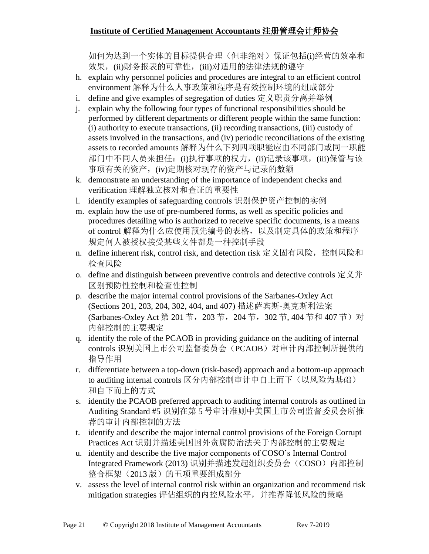如何为达到一个实体的目标提供合理(但非绝对)保证包括(i)经营的效率和 效果,(ii)财务报表的可靠性,(iii)对适用的法律法规的遵守

- h. explain why personnel policies and procedures are integral to an efficient control environment 解释为什么人事政策和程序是有效控制环境的组成部分
- i. define and give examples of segregation of duties 定义职责分离并举例
- j. explain why the following four types of functional responsibilities should be performed by different departments or different people within the same function: (i) authority to execute transactions, (ii) recording transactions, (iii) custody of assets involved in the transactions, and (iv) periodic reconciliations of the existing assets to recorded amounts 解释为什么下列四项职能应由不同部门或同一职能 部门中不同人员来担任: (i)执行事项的权力, (ii)记录该事项, (iii)保管与该 事项有关的资产,(iv)定期核对现存的资产与记录的数额
- k. demonstrate an understanding of the importance of independent checks and verification 理解独立核对和查证的重要性
- l. identify examples of safeguarding controls 识别保护资产控制的实例
- m. explain how the use of pre-numbered forms, as well as specific policies and procedures detailing who is authorized to receive specific documents, is a means of control 解释为什么应使用预先编号的表格,以及制定具体的政策和程序 规定何人被授权接受某些文件都是一种控制手段
- n. define inherent risk, control risk, and detection risk 定义固有风险, 控制风险和 检查风险
- o. define and distinguish between preventive controls and detective controls 定义并 区别预防性控制和检查性控制
- p. describe the major internal control provisions of the Sarbanes-Oxley Act (Sections 201, 203, 204, 302, 404, and 407) 描述萨宾斯-奥克斯利法案 (Sarbanes-Oxley Act 第 201 节, 203 节, 204 节, 302 节, 404 节和 407 节)对 内部控制的主要规定
- q. identify the role of the PCAOB in providing guidance on the auditing of internal controls 识别美国上市公司监督委员会(PCAOB)对审计内部控制所提供的 指导作用
- r. differentiate between a top-down (risk-based) approach and a bottom-up approach to auditing internal controls 区分内部控制审计中自上而下(以风险为基础) 和自下而上的方式
- s. identify the PCAOB preferred approach to auditing internal controls as outlined in Auditing Standard #5 识别在第 5 号审计准则中美国上市公司监督委员会所推 荐的审计内部控制的方法
- t. identify and describe the major internal control provisions of the Foreign Corrupt Practices Act 识别并描述美国国外贪腐防治法关于内部控制的主要规定
- u. identify and describe the five major components of COSO's Internal Control Integrated Framework (2013) 识别并描述发起组织委员会(COSO)内部控制 整合框架(2013版)的五项重要组成部分
- v. assess the level of internal control risk within an organization and recommend risk mitigation strategies 评估组织的内控风险水平,并推荐降低风险的策略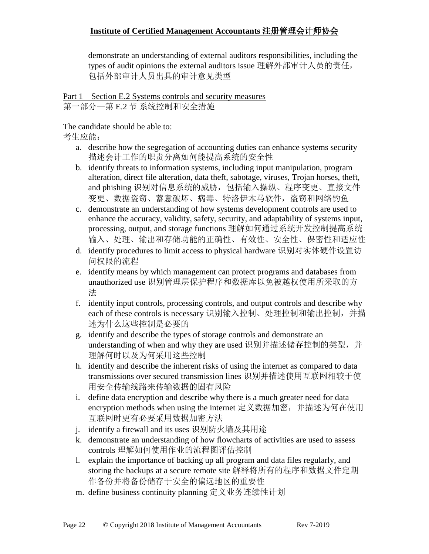demonstrate an understanding of external auditors responsibilities, including the types of audit opinions the external auditors issue 理解外部审计人员的责任, 包括外部审计人员出具的审计意见类型

Part 1 – Section E.2 Systems controls and security measures 第一部分—第 E.2 节 系统控制和安全措施

The candidate should be able to:

- a. describe how the segregation of accounting duties can enhance systems security 描述会计工作的职责分离如何能提高系统的安全性
- b. identify threats to information systems, including input manipulation, program alteration, direct file alteration, data theft, sabotage, viruses, Trojan horses, theft, and phishing 识别对信息系统的威胁,包括输入操纵、程序变更、直接文件 变更、数据盗窃、蓄意破坏、病毒、特洛伊木马软件,盗窃和网络钓鱼
- c. demonstrate an understanding of how systems development controls are used to enhance the accuracy, validity, safety, security, and adaptability of systems input, processing, output, and storage functions 理解如何通过系统开发控制提高系统 输入、处理、输出和存储功能的正确性、有效性、安全性、保密性和适应性
- d. identify procedures to limit access to physical hardware 识别对实体硬件设置访 问权限的流程
- e. identify means by which management can protect programs and databases from unauthorized use 识别管理层保护程序和数据库以免被越权使用所采取的方 法
- f. identify input controls, processing controls, and output controls and describe why each of these controls is necessary 识别输入控制、处理控制和输出控制,并描 述为什么这些控制是必要的
- g. identify and describe the types of storage controls and demonstrate an understanding of when and why they are used 识别并描述储存控制的类型, 并 理解何时以及为何采用这些控制
- h. identify and describe the inherent risks of using the internet as compared to data transmissions over secured transmission lines 识别并描述使用互联网相较于使 用安全传输线路来传输数据的固有风险
- i. define data encryption and describe why there is a much greater need for data encryption methods when using the internet 定义数据加密,并描述为何在使用 互联网时更有必要采用数据加密方法
- j. identify a firewall and its uses 识别防火墙及其用途
- k. demonstrate an understanding of how flowcharts of activities are used to assess controls 理解如何使用作业的流程图评估控制
- l. explain the importance of backing up all program and data files regularly, and storing the backups at a secure remote site 解释将所有的程序和数据文件定期 作备份并将备份储存于安全的偏远地区的重要性
- m. define business continuity planning 定义业务连续性计划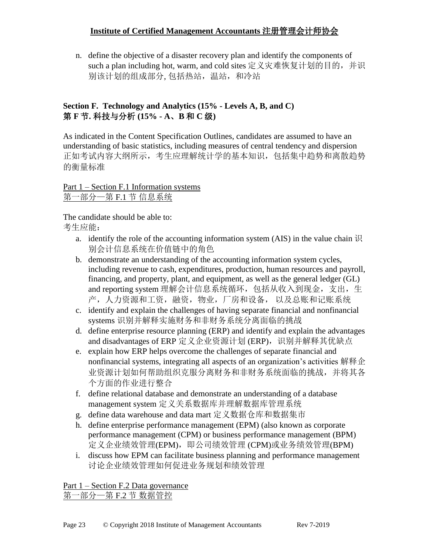n. define the objective of a disaster recovery plan and identify the components of such a plan including hot, warm, and cold sites 定义灾难恢复计划的目的, 并识 别该计划的组成部分, 包括热站, 温站, 和冷站

#### **Section F. Technology and Analytics (15% - Levels A, B, and C)** 第 **F** 节**.** 科技与分析 **(15% - A**、**B** 和 **C** 级**)**

As indicated in the Content Specification Outlines, candidates are assumed to have an understanding of basic statistics, including measures of central tendency and dispersion 正如考试内容大纲所示,考生应理解统计学的基本知识,包括集中趋势和离散趋势 的衡量标准

Part 1 – Section F.1 Information systems 第一部分—第 F.1 节 信息系统

The candidate should be able to: 考生应能:

- a. identify the role of the accounting information system (AIS) in the value chain  $\mathbb H$ 别会计信息系统在价值链中的角色
- b. demonstrate an understanding of the accounting information system cycles, including revenue to cash, expenditures, production, human resources and payroll, financing, and property, plant, and equipment, as well as the general ledger (GL) and reporting system 理解会计信息系统循环, 包括从收入到现金, 支出, 生 产,人力资源和工资,融资,物业,厂房和设备, 以及总账和记账系统
- c. identify and explain the challenges of having separate financial and nonfinancial systems 识别并解释实施财务和非财务系统分离面临的挑战
- d. define enterprise resource planning (ERP) and identify and explain the advantages and disadvantages of ERP 定义企业资源计划 (ERP), 识别并解释其优缺点
- e. explain how ERP helps overcome the challenges of separate financial and nonfinancial systems, integrating all aspects of an organization's activities 解释企 业资源计划如何帮助组织克服分离财务和非财务系统面临的挑战,并将其各 个方面的作业进行整合
- f. define relational database and demonstrate an understanding of a database management system 定义关系数据库并理解数据库管理系统
- g. define data warehouse and data mart 定义数据仓库和数据集市
- h. define enterprise performance management (EPM) (also known as corporate performance management (CPM) or business performance management (BPM) 定义企业绩效管理(EPM), 即公司绩效管理 (CPM)或业务绩效管理(BPM)
- i. discuss how EPM can facilitate business planning and performance management 讨论企业绩效管理如何促进业务规划和绩效管理

Part 1 – Section F.2 Data governance 第一部分—第 F.2 节 数据管控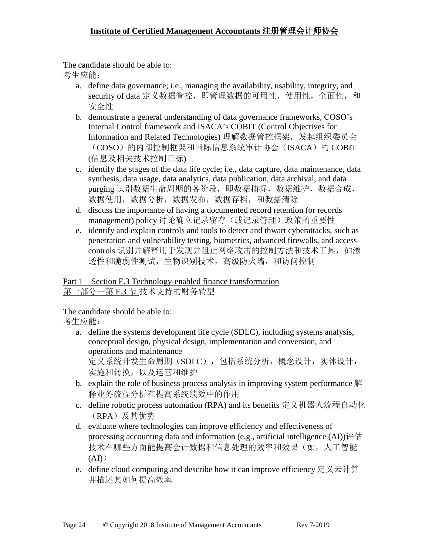The candidate should be able to:

考生应能:

- a. define data governance; i.e., managing the availability, usability, integrity, and security of data 定义数据管控, 即管理数据的可用性, 使用性, 全面性, 和 安全性
- b. demonstrate a general understanding of data governance frameworks, COSO's Internal Control framework and ISACA's COBIT (Control Objectives for Information and Related Technologies) 理解数据管控框架,发起组织委员会 (COSO)的内部控制框架和国际信息系统审计协会(ISACA)的 COBIT (信息及相关技术控制目标)
- c. identify the stages of the data life cycle; i.e., data capture, data maintenance, data synthesis, data usage, data analytics, data publication, data archival, and data purging 识别数据生命周期的各阶段, 即数据捕捉, 数据维护, 数据合成, 数据使用,数据分析,数据发布,数据存档,和数据清除
- d. discuss the importance of having a documented record retention (or records management) policy 讨论确立记录留存(或记录管理)政策的重要性
- e. identify and explain controls and tools to detect and thwart cyberattacks, such as penetration and vulnerability testing, biometrics, advanced firewalls, and access controls 识别并解释用于发现并阻止网络攻击的控制方法和技术工具, 如渗 透性和脆弱性测试,生物识别技术,高级防火墙,和访问控制

Part 1 – Section F.3 Technology-enabled finance transformation 第一部分—第 F.3 节 技术支持的财务转型

The candidate should be able to:

- a. define the systems development life cycle (SDLC), including systems analysis, conceptual design, physical design, implementation and conversion, and operations and maintenance 定义系统开发生命周期(SDLC),包括系统分析,概念设计,实体设计, 实施和转换,以及运营和维护
- b. explain the role of business process analysis in improving system performance 解 释业务流程分析在提高系统绩效中的作用
- c. define robotic process automation (RPA) and its benefits 定义机器人流程自动化 (RPA)及其优势
- d. evaluate where technologies can improve efficiency and effectiveness of processing accounting data and information (e.g., artificial intelligence (AI))评估 技术在哪些方面能提高会计数据和信息处理的效率和效果(如,人工智能  $(AI)$
- e. define cloud computing and describe how it can improve efficiency 定义云计算 并描述其如何提高效率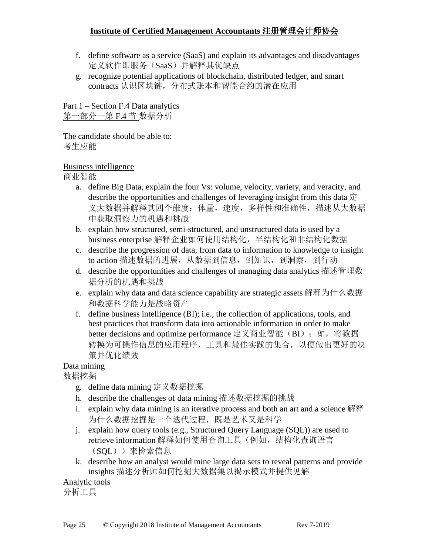- f. define software as a service (SaaS) and explain its advantages and disadvantages 定义软件即服务(SaaS)并解释其优缺点
- g. recognize potential applications of blockchain, distributed ledger, and smart contracts 认识区块链,分布式账本和智能合约的潜在应用

Part 1 – Section F.4 Data analytics 第一部分—第 F.4 节 数据分析

The candidate should be able to: 考生应能

#### Business intelligence

商业智能

- a. define Big Data, explain the four Vs: volume, velocity, variety, and veracity, and describe the opportunities and challenges of leveraging insight from this data  $\hat{\pi}$ 义大数据并解释其四个维度:体量,速度,多样性和准确性,描述从大数据 中获取洞察力的机遇和挑战
- b. explain how structured, semi-structured, and unstructured data is used by a business enterprise 解释企业如何使用结构化,半结构化和非结构化数据
- c. describe the progression of data, from data to information to knowledge to insight to action 描述数据的进展, 从数据到信息, 到知识, 到洞察, 到行动
- d. describe the opportunities and challenges of managing data analytics 描述管理数 据分析的机遇和挑战
- e. explain why data and data science capability are strategic assets 解释为什么数据 和数据科学能力是战略资产
- f. define business intelligence (BI); i.e., the collection of applications, tools, and best practices that transform data into actionable information in order to make better decisions and optimize performance 定义商业智能(BI); 如, 将数据 转换为可操作信息的应用程序,工具和最佳实践的集合,以便做出更好的决 策并优化绩效

### Data mining

数据挖掘

- g. define data mining 定义数据挖掘
- h. describe the challenges of data mining 描述数据挖掘的挑战
- i. explain why data mining is an iterative process and both an art and a science 解释 为什么数据挖掘是一个迭代过程,既是艺术又是科学
- j. explain how query tools (e.g., Structured Query Language (SQL)) are used to retrieve information 解释如何使用查询工具(例如, 结构化查询语言 (SQL))来检索信息
- k. describe how an analyst would mine large data sets to reveal patterns and provide insights 描述分析师如何挖掘大数据集以揭示模式并提供见解

### Analytic tools

分析工具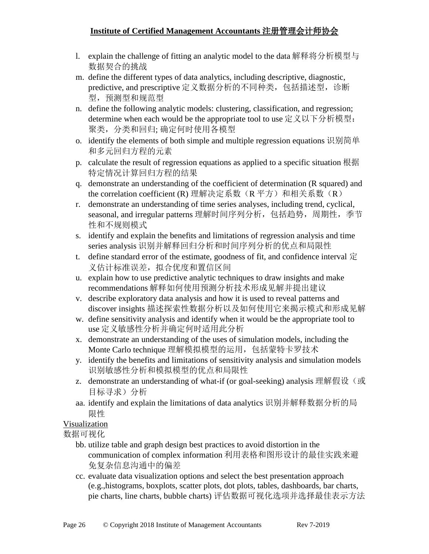- l. explain the challenge of fitting an analytic model to the data 解释将分析模型与 数据契合的挑战
- m. define the different types of data analytics, including descriptive, diagnostic, predictive, and prescriptive 定义数据分析的不同种类, 包括描述型, 诊断 型,预测型和规范型
- n. define the following analytic models: clustering, classification, and regression; determine when each would be the appropriate tool to use 定义以下分析模型: 聚类,分类和回归; 确定何时使用各模型
- o. identify the elements of both simple and multiple regression equations 识别简单 和多元回归方程的元素
- p. calculate the result of regression equations as applied to a specific situation 根据 特定情况计算回归方程的结果
- q. demonstrate an understanding of the coefficient of determination (R squared) and the correlation coefficient (R) 理解决定系数(R 平方) 和相关系数(R)
- r. demonstrate an understanding of time series analyses, including trend, cyclical, seasonal, and irregular patterns 理解时间序列分析, 包括趋势, 周期性, 季节 性和不规则模式
- s. identify and explain the benefits and limitations of regression analysis and time series analysis 识别并解释回归分析和时间序列分析的优点和局限性
- t. define standard error of the estimate, goodness of fit, and confidence interval  $\dot{\Xi}$ 义估计标准误差,拟合优度和置信区间
- u. explain how to use predictive analytic techniques to draw insights and make recommendations 解释如何使用预测分析技术形成见解并提出建议
- v. describe exploratory data analysis and how it is used to reveal patterns and discover insights 描述探索性数据分析以及如何使用它来揭示模式和形成见解
- w. define sensitivity analysis and identify when it would be the appropriate tool to use 定义敏感性分析并确定何时适用此分析
- x. demonstrate an understanding of the uses of simulation models, including the Monte Carlo technique 理解模拟模型的运用,包括蒙特卡罗技术
- y. identify the benefits and limitations of sensitivity analysis and simulation models 识别敏感性分析和模拟模型的优点和局限性
- z. demonstrate an understanding of what-if (or goal-seeking) analysis 理解假设(或 目标寻求)分析
- aa. identify and explain the limitations of data analytics 识别并解释数据分析的局 限性

## Visualization

数据可视化

- bb. utilize table and graph design best practices to avoid distortion in the communication of complex information 利用表格和图形设计的最佳实践来避 免复杂信息沟通中的偏差
- cc. evaluate data visualization options and select the best presentation approach (e.g.,histograms, boxplots, scatter plots, dot plots, tables, dashboards, bar charts, pie charts, line charts, bubble charts) 评估数据可视化选项并选择最佳表示方法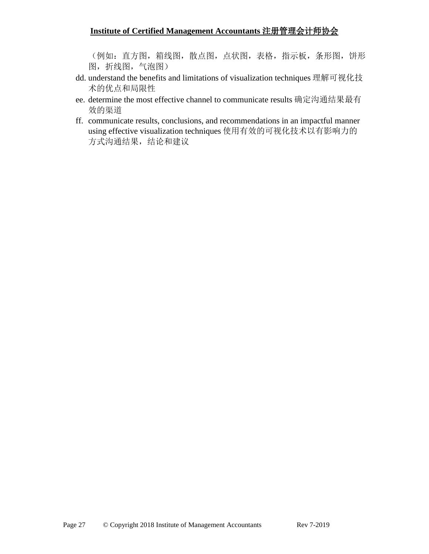(例如:直方图,箱线图,散点图,点状图,表格,指示板,条形图,饼形 图,折线图,气泡图)

- dd. understand the benefits and limitations of visualization techniques 理解可视化技 术的优点和局限性
- ee. determine the most effective channel to communicate results 确定沟通结果最有 效的渠道
- ff. communicate results, conclusions, and recommendations in an impactful manner using effective visualization techniques 使用有效的可视化技术以有影响力的 方式沟通结果,结论和建议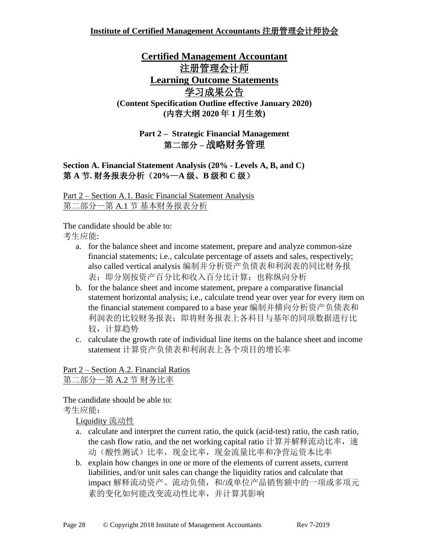## **Certified Management Accountant**  主册管理会计师 **Learning Outcome Statements** 学习成果公告 **(Content Specification Outline effective January 2020) (**内容大纲 **2020** 年 **1** 月生效**)**

## **Part 2 – Strategic Financial Management** 第二部分 **–** 战略财务管理

### **Section A. Financial Statement Analysis (20% - Levels A, B, and C)** 第 **A** 节**.** 财务报表分析(**20%**—**A** 级、**B** 级和 **C** 级)

Part 2 – Section A.1. Basic Financial Statement Analysis 第二部分—第 A.1 节 基本财务报表分析

The candidate should be able to:

考生应能:

- a. for the balance sheet and income statement, prepare and analyze common-size financial statements; i.e., calculate percentage of assets and sales, respectively; also called vertical analysis 编制并分析资产负债表和利润表的同比财务报 表;即分别按资产百分比和收入百分比计算;也称纵向分析
- b. for the balance sheet and income statement, prepare a comparative financial statement horizontal analysis; i.e., calculate trend year over year for every item on the financial statement compared to a base year 编制并横向分析资产负债表和 利润表的比较财务报表;即将财务报表上各科目与基年的同项数据进行比 较,计算趋势
- c. calculate the growth rate of individual line items on the balance sheet and income statement 计算资产负债表和利润表上各个项目的增长率

### Part 2 – Section A.2. Financial Ratios 第二部分—第 A.2 节 财务比率

The candidate should be able to: 考生应能:

Liquidity 流动性

- a. calculate and interpret the current ratio, the quick (acid-test) ratio, the cash ratio, the cash flow ratio, and the net working capital ratio 计算并解释流动比率, 速 动(酸性测试)比率,现金比率,现金流量比率和净营运资本比率
- b. explain how changes in one or more of the elements of current assets, current liabilities, and/or unit sales can change the liquidity ratios and calculate that impact 解释流动资产、流动负债,和/或单位产品销售额中的一项或多项元 素的变化如何能改变流动性比率,并计算其影响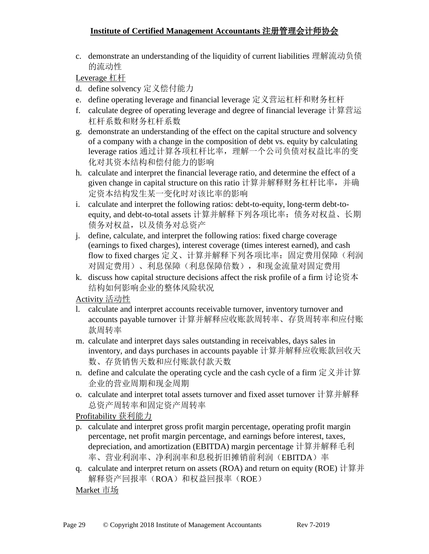c. demonstrate an understanding of the liquidity of current liabilities 理解流动负债 的流动性

Leverage 杠杆

- d. define solvency 定义偿付能力
- e. define operating leverage and financial leverage 定义营运杠杆和财务杠杆
- f. calculate degree of operating leverage and degree of financial leverage 计算营运 杠杆系数和财务杠杆系数
- g. demonstrate an understanding of the effect on the capital structure and solvency of a company with a change in the composition of debt vs. equity by calculating leverage ratios 通过计算各项杠杆比率,理解一个公司负债对权益比率的变 化对其资本结构和偿付能力的影响
- h. calculate and interpret the financial leverage ratio, and determine the effect of a given change in capital structure on this ratio 计算并解释财务杠杆比率,并确 定资本结构发生某一变化时对该比率的影响
- i. calculate and interpret the following ratios: debt-to-equity, long-term debt-toequity, and debt-to-total assets 计算并解释下列各项比率:债务对权益、长期 债务对权益,以及债务对总资产
- j. define, calculate, and interpret the following ratios: fixed charge coverage (earnings to fixed charges), interest coverage (times interest earned), and cash flow to fixed charges 定义、计算并解释下列各项比率: 固定费用保障(利润 对固定费用)、利息保障(利息保障倍数),和现金流量对固定费用
- k. discuss how capital structure decisions affect the risk profile of a firm 讨论资本 结构如何影响企业的整体风险状况

Activity 活动性

- l. calculate and interpret accounts receivable turnover, inventory turnover and accounts payable turnover 计算并解释应收账款周转率、存货周转率和应付账 款周转率
- m. calculate and interpret days sales outstanding in receivables, days sales in inventory, and days purchases in accounts payable 计算并解释应收账款回收天 数、存货销售天数和应付账款付款天数
- n. define and calculate the operating cycle and the cash cycle of a firm 定义并计算 企业的营业周期和现金周期
- o. calculate and interpret total assets turnover and fixed asset turnover 计算并解释 总资产周转率和固定资产周转率

Profitability 获利能力

- p. calculate and interpret gross profit margin percentage, operating profit margin percentage, net profit margin percentage, and earnings before interest, taxes, depreciation, and amortization (EBITDA) margin percentage 计算并解释毛利 率、营业利润率、净利润率和息税折旧摊销前利润(EBITDA)率
- q. calculate and interpret return on assets (ROA) and return on equity (ROE) 计算并 解释资产回报率(ROA)和权益回报率(ROE)

Market 市场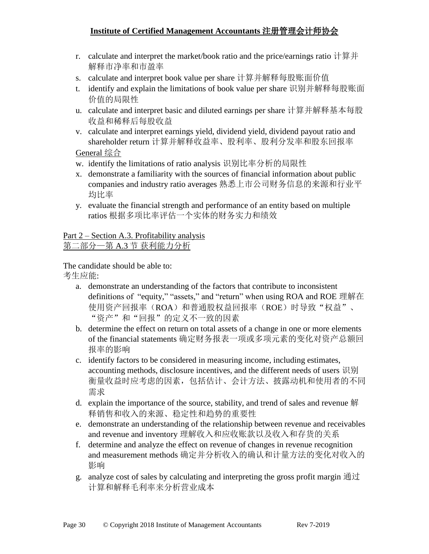- r. calculate and interpret the market/book ratio and the price/earnings ratio 计算并 解释市净率和市盈率
- s. calculate and interpret book value per share 计算并解释每股账面价值
- t. identify and explain the limitations of book value per share 识别并解释每股账面 价值的局限性
- u. calculate and interpret basic and diluted earnings per share 计算并解释基本每股 收益和稀释后每股收益
- v. calculate and interpret earnings yield, dividend yield, dividend payout ratio and shareholder return 计算并解释收益率、股利率、股利分发率和股东回报率

General 综合

- w. identify the limitations of ratio analysis 识别比率分析的局限性
- x. demonstrate a familiarity with the sources of financial information about public companies and industry ratio averages 熟悉上市公司财务信息的来源和行业平 均比率
- y. evaluate the financial strength and performance of an entity based on multiple ratios 根据多项比率评估一个实体的财务实力和绩效

Part 2 – Section A.3. Profitability analysis 第二部分—第 A.3 节 获利能力分析

The candidate should be able to:

- a. demonstrate an understanding of the factors that contribute to inconsistent definitions of "equity," "assets," and "return" when using ROA and ROE 理解在 使用资产回报率(ROA)和普通股权益回报率(ROE)时导致"权益"、 "资产"和"回报"的定义不一致的因素
- b. determine the effect on return on total assets of a change in one or more elements of the financial statements 确定财务报表一项或多项元素的变化对资产总额回 报率的影响
- c. identify factors to be considered in measuring income, including estimates, accounting methods, disclosure incentives, and the different needs of users 识别 衡量收益时应考虑的因素,包括估计、会计方法、披露动机和使用者的不同 需求
- d. explain the importance of the source, stability, and trend of sales and revenue 解 释销售和收入的来源、稳定性和趋势的重要性
- e. demonstrate an understanding of the relationship between revenue and receivables and revenue and inventory 理解收入和应收账款以及收入和存货的关系
- f. determine and analyze the effect on revenue of changes in revenue recognition and measurement methods 确定并分析收入的确认和计量方法的变化对收入的 影响
- g. analyze cost of sales by calculating and interpreting the gross profit margin  $\mathbb{H} \mathbb{U}$ 计算和解释毛利率来分析营业成本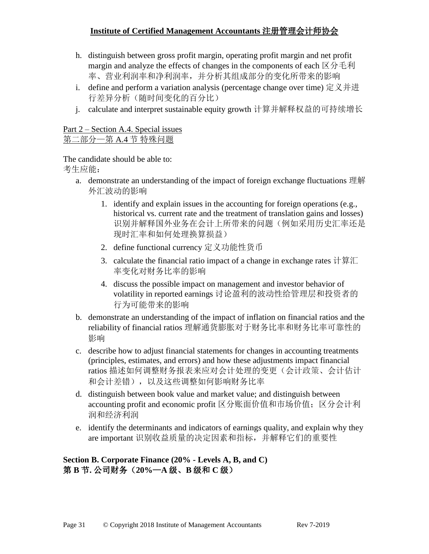- h. distinguish between gross profit margin, operating profit margin and net profit margin and analyze the effects of changes in the components of each  $\boxtimes \rightarrow \pm \text{F}$ 率、营业利润率和净利润率,并分析其组成部分的变化所带来的影响
- i. define and perform a variation analysis (percentage change over time) 定义并进 行差异分析(随时间变化的百分比)
- j. calculate and interpret sustainable equity growth 计算并解释权益的可持续增长

#### Part 2 – Section A.4. Special issues 第二部分—第 A.4 节 特殊问题

The candidate should be able to: 考生应能:

- a. demonstrate an understanding of the impact of foreign exchange fluctuations 理解 外汇波动的影响
	- 1. identify and explain issues in the accounting for foreign operations (e.g., historical vs. current rate and the treatment of translation gains and losses) 识别并解释国外业务在会计上所带来的问题(例如采用历史汇率还是 现时汇率和如何处理换算损益)
	- 2. define functional currency 定义功能性货币
	- 3. calculate the financial ratio impact of a change in exchange rates 计算汇 率变化对财务比率的影响
	- 4. discuss the possible impact on management and investor behavior of volatility in reported earnings 讨论盈利的波动性给管理层和投资者的 行为可能带来的影响
- b. demonstrate an understanding of the impact of inflation on financial ratios and the reliability of financial ratios 理解通货膨胀对于财务比率和财务比率可靠性的 影响
- c. describe how to adjust financial statements for changes in accounting treatments (principles, estimates, and errors) and how these adjustments impact financial ratios 描述如何调整财务报表来应对会计处理的变更(会计政策、会计估计 和会计差错),以及这些调整如何影响财务比率
- d. distinguish between book value and market value; and distinguish between accounting profit and economic profit 区分账面价值和市场价值;区分会计利 润和经济利润
- e. identify the determinants and indicators of earnings quality, and explain why they are important 识别收益质量的决定因素和指标,并解释它们的重要性

**Section B. Corporate Finance (20% - Levels A, B, and C)** 第 **B** 节**.** 公司财务(**20%**—**A** 级、**B** 级和 **C** 级)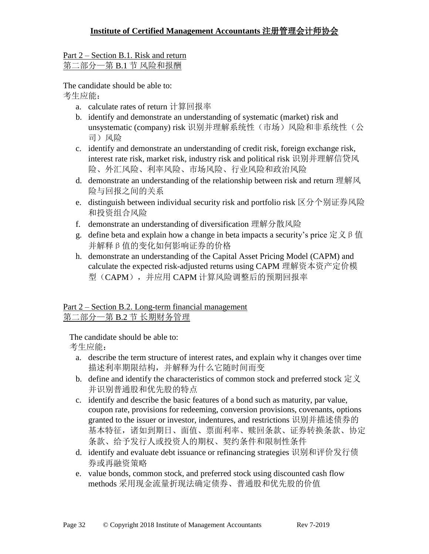#### Part 2 – Section B.1. Risk and return 第二部分—第 B.1 节 风险和报酬

The candidate should be able to: 考生应能:

- a. calculate rates of return 计算回报率
- b. identify and demonstrate an understanding of systematic (market) risk and unsystematic (company) risk 识别并理解系统性(市场)风险和非系统性(公 司)风险
- c. identify and demonstrate an understanding of credit risk, foreign exchange risk, interest rate risk, market risk, industry risk and political risk 识别并理解信贷风 险、外汇风险、利率风险、市场风险、行业风险和政治风险
- d. demonstrate an understanding of the relationship between risk and return 理解风 险与回报之间的关系
- e. distinguish between individual security risk and portfolio risk 区分个别证券风险 和投资组合风险
- f. demonstrate an understanding of diversification 理解分散风险
- g. define beta and explain how a change in beta impacts a security's price  $\overline{\mathcal{R}} \times \mathcal{B}$   $\underline{\mathcal{R}}$ 并解释β值的变化如何影响证券的价格
- h. demonstrate an understanding of the Capital Asset Pricing Model (CAPM) and calculate the expected risk-adjusted returns using CAPM 理解资本资产定价模 型(CAPM),并应用 CAPM 计算风险调整后的预期回报率

### Part 2 – Section B.2. Long-term financial management 第二部分—第 B.2 节 长期财务管理

The candidate should be able to:

- a. describe the term structure of interest rates, and explain why it changes over time 描述利率期限结构,并解释为什么它随时间而变
- b. define and identify the characteristics of common stock and preferred stock  $\hat{\mathbb{E}} \times$ 并识别普通股和优先股的特点
- c. identify and describe the basic features of a bond such as maturity, par value, coupon rate, provisions for redeeming, conversion provisions, covenants, options granted to the issuer or investor, indentures, and restrictions 识别并描述债券的 基本特征,诸如到期日、面值、票面利率、赎回条款、证券转换条款、协定 条款、给予发行人或投资人的期权、契约条件和限制性条件
- d. identify and evaluate debt issuance or refinancing strategies 识别和评价发行债 券或再融资策略
- e. value bonds, common stock, and preferred stock using discounted cash flow methods 采用现金流量折现法确定债券、普通股和优先股的价值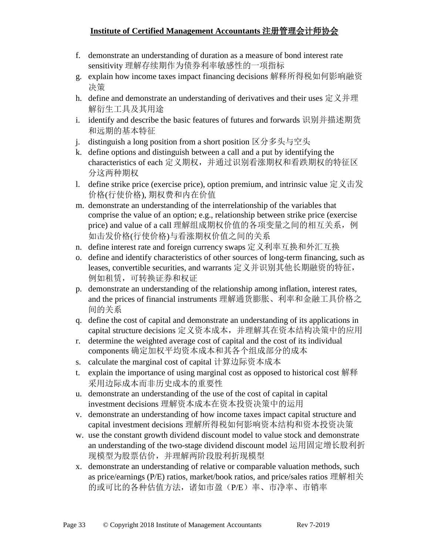- f. demonstrate an understanding of duration as a measure of bond interest rate sensitivity 理解存续期作为债券利率敏感性的一项指标
- g. explain how income taxes impact financing decisions 解释所得税如何影响融资 决策
- h. define and demonstrate an understanding of derivatives and their uses 定义并理 解衍生工具及其用途
- i. identify and describe the basic features of futures and forwards 识别并描述期货 和远期的基本特征
- j. distinguish a long position from a short position 区分多头与空头
- k. define options and distinguish between a call and a put by identifying the characteristics of each 定义期权,并通过识别看涨期权和看跌期权的特征区 分这两种期权
- 1. define strike price (exercise price), option premium, and intrinsic value  $\angle \angle \pm \angle \angle$ 价格(行使价格), 期权费和内在价值
- m. demonstrate an understanding of the interrelationship of the variables that comprise the value of an option; e.g., relationship between strike price (exercise price) and value of a call 理解组成期权价值的各项变量之间的相互关系, 例 如击发价格(行使价格)与看涨期权价值之间的关系
- n. define interest rate and foreign currency swaps 定义利率互换和外汇互换
- o. define and identify characteristics of other sources of long-term financing, such as leases, convertible securities, and warrants 定义并识别其他长期融资的特征, 例如租赁,可转换证券和权证
- p. demonstrate an understanding of the relationship among inflation, interest rates, and the prices of financial instruments 理解通货膨胀、利率和金融工具价格之 间的关系
- q. define the cost of capital and demonstrate an understanding of its applications in capital structure decisions 定义资本成本,并理解其在资本结构决策中的应用
- r. determine the weighted average cost of capital and the cost of its individual components 确定加权平均资本成本和其各个组成部分的成本
- s. calculate the marginal cost of capital 计算边际资本成本
- t. explain the importance of using marginal cost as opposed to historical cost 解释 采用边际成本而非历史成本的重要性
- u. demonstrate an understanding of the use of the cost of capital in capital investment decisions 理解资本成本在资本投资决策中的运用
- v. demonstrate an understanding of how income taxes impact capital structure and capital investment decisions 理解所得税如何影响资本结构和资本投资决策
- w. use the constant growth dividend discount model to value stock and demonstrate an understanding of the two-stage dividend discount model 运用固定增长股利折 现模型为股票估价,并理解两阶段股利折现模型
- x. demonstrate an understanding of relative or comparable valuation methods, such as price/earnings (P/E) ratios, market/book ratios, and price/sales ratios 理解相关 的或可比的各种估值方法,诸如市盈(P/E)率、市净率、市销率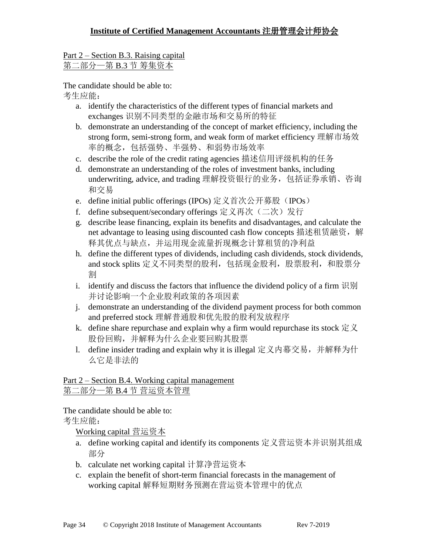#### Part 2 – Section B.3. Raising capital 第二部分—第 B.3 节 筹集资本

The candidate should be able to:

考生应能:

- a. identify the characteristics of the different types of financial markets and exchanges 识别不同类型的金融市场和交易所的特征
- b. demonstrate an understanding of the concept of market efficiency, including the strong form, semi-strong form, and weak form of market efficiency 理解市场效 率的概念,包括强势、半强势、和弱势市场效率
- c. describe the role of the credit rating agencies 描述信用评级机构的任务
- d. demonstrate an understanding of the roles of investment banks, including underwriting, advice, and trading 理解投资银行的业务,包括证券承销、咨询 和交易
- e. define initial public offerings (IPOs) 定义首次公开募股(IPOs)
- f. define subsequent/secondary offerings 定义再次(二次)发行
- g. describe lease financing, explain its benefits and disadvantages, and calculate the net advantage to leasing using discounted cash flow concepts 描述租赁融资, 解 释其优点与缺点,并运用现金流量折现概念计算租赁的净利益
- h. define the different types of dividends, including cash dividends, stock dividends, and stock splits 定义不同类型的股利, 包括现金股利, 股票股利, 和股票分 割
- i. identify and discuss the factors that influence the dividend policy of a firm  $\mathbb{R}$  in 并讨论影响一个企业股利政策的各项因素
- j. demonstrate an understanding of the dividend payment process for both common and preferred stock 理解普通股和优先股的股利发放程序
- k. define share repurchase and explain why a firm would repurchase its stock  $\hat{\mathbb{E}} \times$ 股份回购,并解释为什么企业要回购其股票
- l. define insider trading and explain why it is illegal 定义内幕交易,并解释为什 么它是非法的

### Part 2 – Section B.4. Working capital management 第二部分—第 B.4 节 营运资本管理

The candidate should be able to:

考生应能:

Working capital 营运资本

- a. define working capital and identify its components 定义营运资本并识别其组成 部分
- b. calculate net working capital 计算净营运资本
- c. explain the benefit of short-term financial forecasts in the management of working capital 解释短期财务预测在营运资本管理中的优点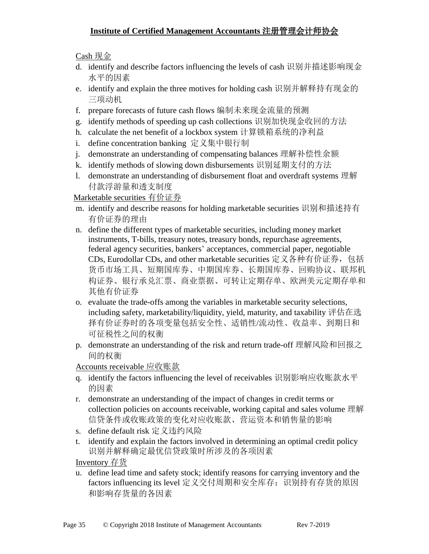Cash 现金

- d. identify and describe factors influencing the levels of cash 识别并描述影响现金 水平的因素
- e. identify and explain the three motives for holding cash 识别并解释持有现金的 三项动机
- f. prepare forecasts of future cash flows 编制未来现金流量的预测
- g. identify methods of speeding up cash collections 识别加快现金收回的方法
- h. calculate the net benefit of a lockbox system 计算锁箱系统的净利益
- i. define concentration banking 定义集中银行制
- j. demonstrate an understanding of compensating balances 理解补偿性余额
- k. identify methods of slowing down disbursements 识别延期支付的方法
- l. demonstrate an understanding of disbursement float and overdraft systems 理解 付款浮游量和透支制度

#### Marketable securities 有价证券

- m. identify and describe reasons for holding marketable securities 识别和描述持有 有价证券的理由
- n. define the different types of marketable securities, including money market instruments, T-bills, treasury notes, treasury bonds, repurchase agreements, federal agency securities, bankers' acceptances, commercial paper, negotiable CDs, Eurodollar CDs, and other marketable securities 定义各种有价证券,包括 货币市场工具、短期国库券、中期国库券、长期国库券、回购协议、联邦机 构证券、银行承兑汇票、商业票据、可转让定期存单、欧洲美元定期存单和 其他有价证券
- o. evaluate the trade-offs among the variables in marketable security selections, including safety, marketability/liquidity, yield, maturity, and taxability 评估在选 择有价证券时的各项变量包括安全性、适销性/流动性、收益率、到期日和 可征税性之间的权衡
- p. demonstrate an understanding of the risk and return trade-off 理解风险和回报之 间的权衡

Accounts receivable 应收账款

- q. identify the factors influencing the level of receivables 识别影响应收账款水平 的因素
- r. demonstrate an understanding of the impact of changes in credit terms or collection policies on accounts receivable, working capital and sales volume 理解 信贷条件或收账政策的变化对应收账款、营运资本和销售量的影响
- s. define default risk 定义违约风险
- t. identify and explain the factors involved in determining an optimal credit policy 识别并解释确定最优信贷政策时所涉及的各项因素

Inventory 存货

u. define lead time and safety stock; identify reasons for carrying inventory and the factors influencing its level 定义交付周期和安全库存; 识别持有存货的原因 和影响存货量的各因素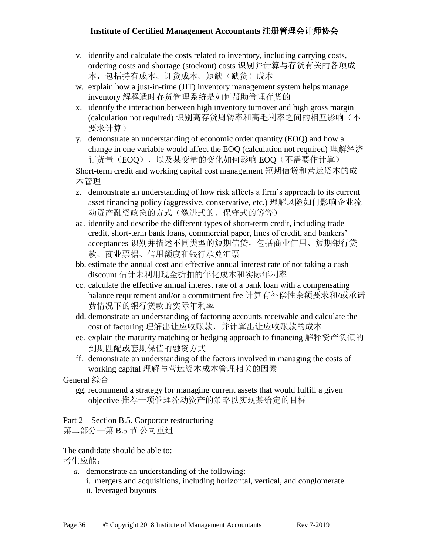- v. identify and calculate the costs related to inventory, including carrying costs, ordering costs and shortage (stockout) costs 识别并计算与存货有关的各项成 本,包括持有成本、订货成本、短缺(缺货)成本
- w. explain how a just-in-time (JIT) inventory management system helps manage inventory 解释适时存货管理系统是如何帮助管理存货的
- x. identify the interaction between high inventory turnover and high gross margin (calculation not required) 识别高存货周转率和高毛利率之间的相互影响(不 要求计算)
- y. demonstrate an understanding of economic order quantity (EOQ) and how a change in one variable would affect the EOQ (calculation not required) 理解经济 订货量(EOQ),以及某变量的变化如何影响 EOQ(不需要作计算)

Short-term credit and working capital cost management 短期信贷和营运资本的成 本管理

- z. demonstrate an understanding of how risk affects a firm's approach to its current asset financing policy (aggressive, conservative, etc.) 理解风险如何影响企业流 动资产融资政策的方式(激进式的、保守式的等等)
- aa. identify and describe the different types of short-term credit, including trade credit, short-term bank loans, commercial paper, lines of credit, and bankers' acceptances 识别并描述不同类型的短期信贷,包括商业信用、短期银行贷 款、商业票据、信用额度和银行承兑汇票
- bb. estimate the annual cost and effective annual interest rate of not taking a cash discount 估计未利用现金折扣的年化成本和实际年利率
- cc. calculate the effective annual interest rate of a bank loan with a compensating balance requirement and/or a commitment fee 计算有补偿性余额要求和/或承诺 费情况下的银行贷款的实际年利率
- dd. demonstrate an understanding of factoring accounts receivable and calculate the cost of factoring 理解出让应收账款,并计算出让应收账款的成本
- ee. explain the maturity matching or hedging approach to financing 解释资产负债的 到期匹配或套期保值的融资方式
- ff. demonstrate an understanding of the factors involved in managing the costs of working capital 理解与营运资本成本管理相关的因素

#### General 综合

gg. recommend a strategy for managing current assets that would fulfill a given objective 推荐一项管理流动资产的策略以实现某给定的目标

#### Part 2 – Section B.5. Corporate restructuring 第二部分—第 B.5 节 公司重组

The candidate should be able to:

- *a.* demonstrate an understanding of the following:
	- i. mergers and acquisitions, including horizontal, vertical, and conglomerate
	- ii. leveraged buyouts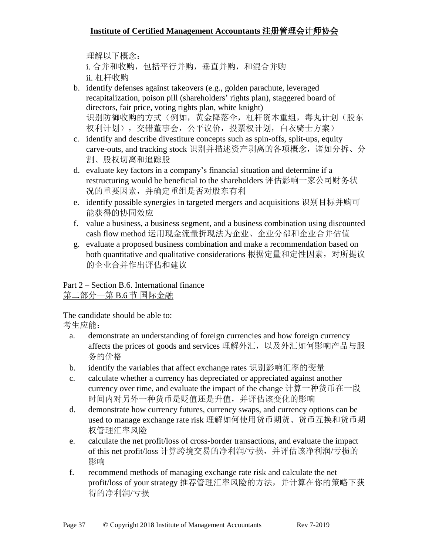理解以下概念: i. 合并和收购, 包括平行并购, 垂直并购, 和混合并购 ii. 杠杆收购

- b. identify defenses against takeovers (e.g., golden parachute, leveraged recapitalization, poison pill (shareholders' rights plan), staggered board of directors, fair price, voting rights plan, white knight) 识别防御收购的方式(例如,黄金降落伞,杠杆资本重组,毒丸计划(股东 权利计划),交错董事会,公平议价,投票权计划,白衣骑士方案)
- c. identify and describe divestiture concepts such as spin-offs, split-ups, equity carve-outs, and tracking stock 识别并描述资产剥离的各项概念,诸如分拆、分 割、股权切离和追踪股
- d. evaluate key factors in a company's financial situation and determine if a restructuring would be beneficial to the shareholders 评估影响一家公司财务状 况的重要因素,并确定重组是否对股东有利
- e. identify possible synergies in targeted mergers and acquisitions 识别目标并购可 能获得的协同效应
- f. value a business, a business segment, and a business combination using discounted cash flow method 运用现金流量折现法为企业、企业分部和企业合并估值
- g. evaluate a proposed business combination and make a recommendation based on both quantitative and qualitative considerations 根据定量和定性因素,对所提议 的企业合并作出评估和建议

Part 2 – Section B.6. International finance 第二部分—第 B.6 节 国际金融

The candidate should be able to:

- a. demonstrate an understanding of foreign currencies and how foreign currency affects the prices of goods and services 理解外汇, 以及外汇如何影响产品与服 务的价格
- b. identify the variables that affect exchange rates 识别影响汇率的变量
- c. calculate whether a currency has depreciated or appreciated against another currency over time, and evaluate the impact of the change 计算一种货币在一段 时间内对另外一种货币是贬值还是升值,并评估该变化的影响
- d. demonstrate how currency futures, currency swaps, and currency options can be used to manage exchange rate risk 理解如何使用货币期货、货币互换和货币期 权管理汇率风险
- e. calculate the net profit/loss of cross-border transactions, and evaluate the impact of this net profit/loss 计算跨境交易的净利润/亏损,并评估该净利润/亏损的 影响
- f. recommend methods of managing exchange rate risk and calculate the net profit/loss of your strategy 推荐管理汇率风险的方法,并计算在你的策略下获 得的净利润/亏损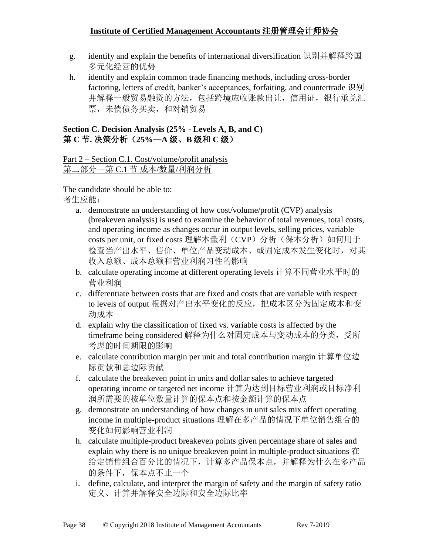- g. identify and explain the benefits of international diversification 识别并解释跨国 多元化经营的优势
- h. identify and explain common trade financing methods, including cross-border factoring, letters of credit, banker's acceptances, forfaiting, and countertrade 识别 并解释一般贸易融资的方法,包括跨境应收账款出让,信用证,银行承兑汇 票,未偿债务买卖,和对销贸易

### **Section C. Decision Analysis (25% - Levels A, B, and C)** 第 **C** 节**.** 决策分析(**25%**—**A** 级、**B** 级和 **C** 级)

Part 2 – Section C.1. Cost/volume/profit analysis 第二部分—第 C.1 节 成本/数量/利润分析

The candidate should be able to:

- a. demonstrate an understanding of how cost/volume/profit (CVP) analysis (breakeven analysis) is used to examine the behavior of total revenues, total costs, and operating income as changes occur in output levels, selling prices, variable costs per unit, or fixed costs 理解本量利(CVP)分析(保本分析)如何用于 检查当产出水平、售价、单位产品变动成本、或固定成本发生变化时,对其 收入总额、成本总额和营业利润习性的影响
- b. calculate operating income at different operating levels 计算不同营业水平时的 营业利润
- c. differentiate between costs that are fixed and costs that are variable with respect to levels of output 根据对产出水平变化的反应,把成本区分为固定成本和变 动成本
- d. explain why the classification of fixed vs. variable costs is affected by the timeframe being considered 解释为什么对固定成本与变动成本的分类,受所 考虑的时间期限的影响
- e. calculate contribution margin per unit and total contribution margin 计算单位边 际贡献和总边际贡献
- f. calculate the breakeven point in units and dollar sales to achieve targeted operating income or targeted net income 计算为达到目标营业利润或目标净利 润所需要的按单位数量计算的保本点和按金额计算的保本点
- g. demonstrate an understanding of how changes in unit sales mix affect operating income in multiple-product situations 理解在多产品的情况下单位销售组合的 变化如何影响营业利润
- h. calculate multiple-product breakeven points given percentage share of sales and explain why there is no unique breakeven point in multiple-product situations 在 给定销售组合百分比的情况下,计算多产品保本点,并解释为什么在多产品 的条件下,保本点不止一个
- i. define, calculate, and interpret the margin of safety and the margin of safety ratio 定义、计算并解释安全边际和安全边际比率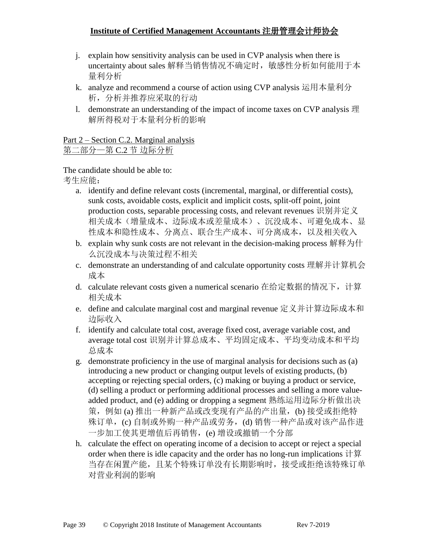- j. explain how sensitivity analysis can be used in CVP analysis when there is uncertainty about sales 解释当销售情况不确定时, 敏感性分析如何能用于本 量利分析
- k. analyze and recommend a course of action using CVP analysis 运用本量利分 析,分析并推荐应采取的行动
- l. demonstrate an understanding of the impact of income taxes on CVP analysis 理 解所得税对于本量利分析的影响

Part 2 – Section C.2. Marginal analysis 第二部分—第 C.2 节 边际分析

- a. identify and define relevant costs (incremental, marginal, or differential costs), sunk costs, avoidable costs, explicit and implicit costs, split-off point, joint production costs, separable processing costs, and relevant revenues 识别并定义 相关成本(增量成本、边际成本或差量成本)、沉没成本、可避免成本、显 性成本和隐性成本、分离点、联合生产成本、可分离成本,以及相关收入
- b. explain why sunk costs are not relevant in the decision-making process 解释为什 么沉没成本与决策过程不相关
- c. demonstrate an understanding of and calculate opportunity costs 理解并计算机会 成本
- d. calculate relevant costs given a numerical scenario 在给定数据的情况下,计算 相关成本
- e. define and calculate marginal cost and marginal revenue 定义并计算边际成本和 边际收入
- f. identify and calculate total cost, average fixed cost, average variable cost, and average total cost 识别并计算总成本、平均固定成本、平均变动成本和平均 总成本
- g. demonstrate proficiency in the use of marginal analysis for decisions such as (a) introducing a new product or changing output levels of existing products, (b) accepting or rejecting special orders, (c) making or buying a product or service, (d) selling a product or performing additional processes and selling a more valueadded product, and (e) adding or dropping a segment 熟练运用边际分析做出决 策, 例如 (a) 推出一种新产品或改变现有产品的产出量, (b) 接受或拒绝特 殊订单,(c) 自制或外购一种产品或劳务,(d) 销售一种产品或对该产品作进 一步加工使其更增值后再销售,(e) 增设或撤销一个分部
- h. calculate the effect on operating income of a decision to accept or reject a special order when there is idle capacity and the order has no long-run implications 计算 当存在闲置产能,且某个特殊订单没有长期影响时,接受或拒绝该特殊订单 对营业利润的影响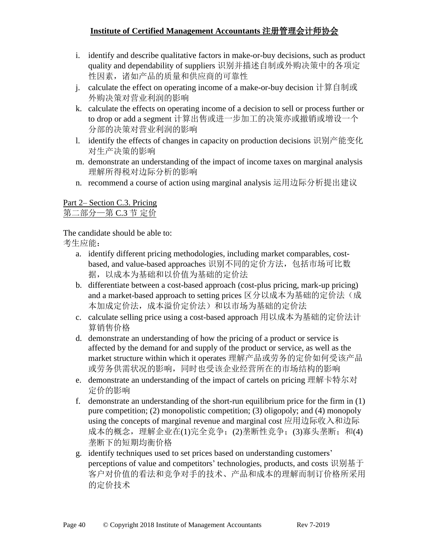- i. identify and describe qualitative factors in make-or-buy decisions, such as product quality and dependability of suppliers 识别并描述自制或外购决策中的各项定 性因素,诸如产品的质量和供应商的可靠性
- j. calculate the effect on operating income of a make-or-buy decision 计算自制或 外购决策对营业利润的影响
- k. calculate the effects on operating income of a decision to sell or process further or to drop or add a segment 计算出售或进一步加工的决策亦或撤销或增设一个 分部的决策对营业利润的影响
- l. identify the effects of changes in capacity on production decisions 识别产能变化 对生产决策的影响
- m. demonstrate an understanding of the impact of income taxes on marginal analysis 理解所得税对边际分析的影响
- n. recommend a course of action using marginal analysis 运用边际分析提出建议

### Part 2– Section C.3. Pricing 第二部分—第 C.3 节 定价

The candidate should be able to:

- a. identify different pricing methodologies, including market comparables, costbased, and value-based approaches 识别不同的定价方法,包括市场可比数 据,以成本为基础和以价值为基础的定价法
- b. differentiate between a cost-based approach (cost-plus pricing, mark-up pricing) and a market-based approach to setting prices 区分以成本为基础的定价法(成 本加成定价法,成本溢价定价法)和以市场为基础的定价法
- c. calculate selling price using a cost-based approach 用以成本为基础的定价法计 算销售价格
- d. demonstrate an understanding of how the pricing of a product or service is affected by the demand for and supply of the product or service, as well as the market structure within which it operates 理解产品或劳务的定价如何受该产品 或劳务供需状况的影响,同时也受该企业经营所在的市场结构的影响
- e. demonstrate an understanding of the impact of cartels on pricing 理解卡特尔对 定价的影响
- f. demonstrate an understanding of the short-run equilibrium price for the firm in (1) pure competition; (2) monopolistic competition; (3) oligopoly; and (4) monopoly using the concepts of marginal revenue and marginal cost 应用边际收入和边际 成本的概念,理解企业在(1)完全竞争;(2)垄断性竞争;(3)寡头垄断;和(4) 垄断下的短期均衡价格
- g. identify techniques used to set prices based on understanding customers' perceptions of value and competitors' technologies, products, and costs 识别基于 客户对价值的看法和竞争对手的技术、产品和成本的理解而制订价格所采用 的定价技术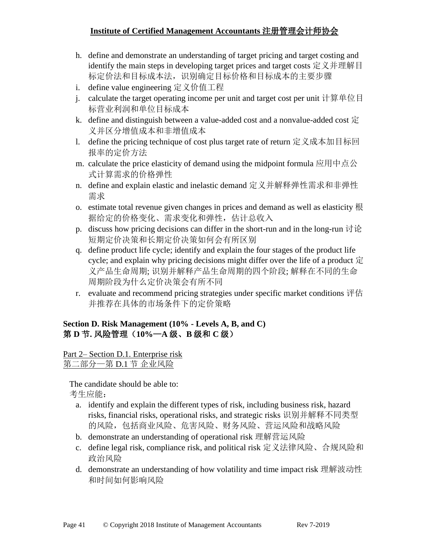- h. define and demonstrate an understanding of target pricing and target costing and identify the main steps in developing target prices and target costs 定义并理解目 标定价法和目标成本法,识别确定目标价格和目标成本的主要步骤
- i. define value engineering 定义价值工程
- j. calculate the target operating income per unit and target cost per unit 计算单位目 标营业利润和单位目标成本
- k. define and distinguish between a value-added cost and a nonvalue-added cost  $\dot{\Xi}$ 义并区分增值成本和非增值成本
- l. define the pricing technique of cost plus target rate of return 定义成本加目标回 报率的定价方法
- m. calculate the price elasticity of demand using the midpoint formula 应用中点公 式计算需求的价格弹性
- n. define and explain elastic and inelastic demand 定义并解释弹性需求和非弹性 需求
- o. estimate total revenue given changes in prices and demand as well as elasticity 根 据给定的价格变化、需求变化和弹性,估计总收入
- p. discuss how pricing decisions can differ in the short-run and in the long-run  $\forall \mathcal{P}$ 短期定价决策和长期定价决策如何会有所区别
- q. define product life cycle; identify and explain the four stages of the product life cycle; and explain why pricing decisions might differ over the life of a product 定 义产品生命周期; 识别并解释产品生命周期的四个阶段; 解释在不同的生命 周期阶段为什么定价决策会有所不同
- r. evaluate and recommend pricing strategies under specific market conditions 评估 并推荐在具体的市场条件下的定价策略

#### **Section D. Risk Management (10% - Levels A, B, and C)** 第 **D** 节**.** 风险管理(**10%**—**A** 级、**B** 级和 **C** 级)

Part 2– Section D.1. Enterprise risk 第二部分—第 D.1 节 企业风险

- a. identify and explain the different types of risk, including business risk, hazard risks, financial risks, operational risks, and strategic risks 识别并解释不同类型 的风险,包括商业风险、危害风险、财务风险、营运风险和战略风险
- b. demonstrate an understanding of operational risk 理解营运风险
- c. define legal risk, compliance risk, and political risk 定义法律风险、合规风险和 政治风险
- d. demonstrate an understanding of how volatility and time impact risk 理解波动性 和时间如何影响风险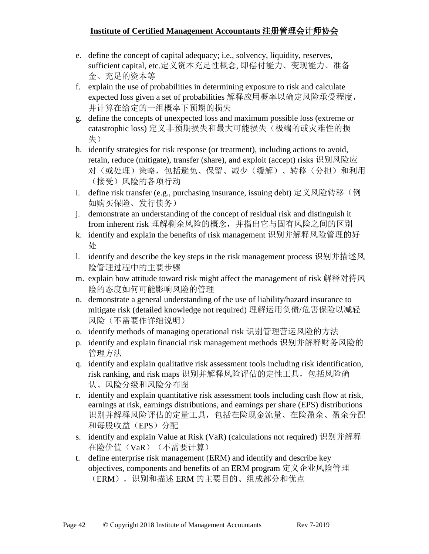- e. define the concept of capital adequacy; i.e., solvency, liquidity, reserves, sufficient capital, etc.定义资本充足性概念, 即偿付能力、变现能力、准备 金、充足的资本等
- f. explain the use of probabilities in determining exposure to risk and calculate expected loss given a set of probabilities 解释应用概率以确定风险承受程度, 并计算在给定的一组概率下预期的损失
- g. define the concepts of unexpected loss and maximum possible loss (extreme or catastrophic loss) 定义非预期损失和最大可能损失(极端的或灾难性的损 失)
- h. identify strategies for risk response (or treatment), including actions to avoid, retain, reduce (mitigate), transfer (share), and exploit (accept) risks 识别风险应 对(或处理)策略,包括避免、保留、减少(缓解)、转移(分担)和利用 (接受)风险的各项行动
- i. define risk transfer (e.g., purchasing insurance, issuing debt) 定义风险转移(例 如购买保险、发行债务)
- j. demonstrate an understanding of the concept of residual risk and distinguish it from inherent risk 理解剩余风险的概念,并指出它与固有风险之间的区别
- k. identify and explain the benefits of risk management 识别并解释风险管理的好 处
- l. identify and describe the key steps in the risk management process 识别并描述风 险管理过程中的主要步骤
- m. explain how attitude toward risk might affect the management of risk 解释对待风 险的态度如何可能影响风险的管理
- n. demonstrate a general understanding of the use of liability/hazard insurance to mitigate risk (detailed knowledge not required) 理解运用负债/危害保险以减轻 风险(不需要作详细说明)
- o. identify methods of managing operational risk 识别管理营运风险的方法
- p. identify and explain financial risk management methods 识别并解释财务风险的 管理方法
- q. identify and explain qualitative risk assessment tools including risk identification, risk ranking, and risk maps 识别并解释风险评估的定性工具,包括风险确 认、风险分级和风险分布图
- r. identify and explain quantitative risk assessment tools including cash flow at risk, earnings at risk, earnings distributions, and earnings per share (EPS) distributions 识别并解释风险评估的定量工具,包括在险现金流量、在险盈余、盈余分配 和每股收益(EPS)分配
- s. identify and explain Value at Risk (VaR) (calculations not required) 识别并解释 在险价值(VaR)(不需要计算)
- t. define enterprise risk management (ERM) and identify and describe key objectives, components and benefits of an ERM program 定义企业风险管理 (ERM), 识别和描述 ERM 的主要目的、组成部分和优点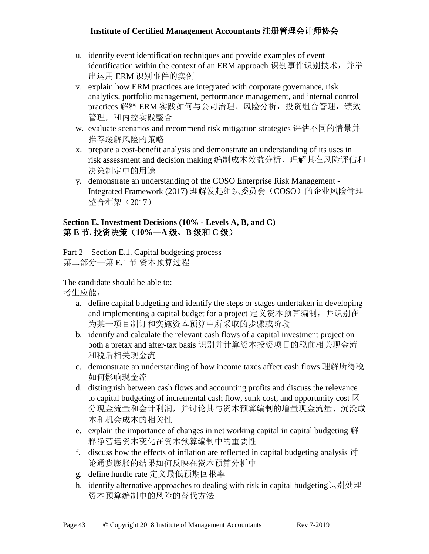- u. identify event identification techniques and provide examples of event identification within the context of an ERM approach 识别事件识别技术,并举 出运用 ERM 识别事件的实例
- v. explain how ERM practices are integrated with corporate governance, risk analytics, portfolio management, performance management, and internal control practices 解释 ERM 实践如何与公司治理、风险分析,投资组合管理,绩效 管理,和内控实践整合
- w. evaluate scenarios and recommend risk mitigation strategies 评估不同的情景并 推荐缓解风险的策略
- x. prepare a cost-benefit analysis and demonstrate an understanding of its uses in risk assessment and decision making 编制成本效益分析,理解其在风险评估和 决策制定中的用途
- y. demonstrate an understanding of the COSO Enterprise Risk Management Integrated Framework (2017) 理解发起组织委员会(COSO)的企业风险管理 整合框架(2017)

#### **Section E. Investment Decisions (10% - Levels A, B, and C)** 第 **E** 节**.** 投资决策(**10%**—**A** 级、**B** 级和 **C** 级)

Part 2 – Section E.1. Capital budgeting process 第二部分—第 E.1 节 资本预算过程

The candidate should be able to:

- a. define capital budgeting and identify the steps or stages undertaken in developing and implementing a capital budget for a project 定义资本预算编制,并识别在 为某一项目制订和实施资本预算中所采取的步骤或阶段
- b. identify and calculate the relevant cash flows of a capital investment project on both a pretax and after-tax basis 识别并计算资本投资项目的税前相关现金流 和税后相关现金流
- c. demonstrate an understanding of how income taxes affect cash flows 理解所得税 如何影响现金流
- d. distinguish between cash flows and accounting profits and discuss the relevance to capital budgeting of incremental cash flow, sunk cost, and opportunity cost  $\boxtimes$ 分现金流量和会计利润,并讨论其与资本预算编制的增量现金流量、沉没成 本和机会成本的相关性
- e. explain the importance of changes in net working capital in capital budgeting 解 释净营运资本变化在资本预算编制中的重要性
- f. discuss how the effects of inflation are reflected in capital budgeting analysis  $\overrightarrow{v}$ 论通货膨胀的结果如何反映在资本预算分析中
- g. define hurdle rate 定义最低预期回报率
- h. identify alternative approaches to dealing with risk in capital budgeting识别处理 资本预算编制中的风险的替代方法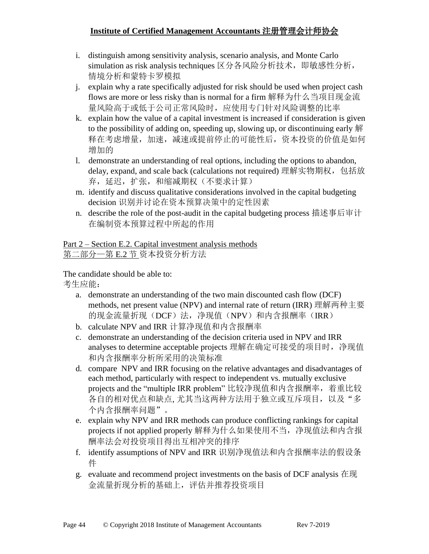- i. distinguish among sensitivity analysis, scenario analysis, and Monte Carlo simulation as risk analysis techniques 区分各风险分析技术,即敏感性分析, 情境分析和蒙特卡罗模拟
- j. explain why a rate specifically adjusted for risk should be used when project cash flows are more or less risky than is normal for a firm 解释为什么当项目现金流 量风险高于或低于公司正常风险时,应使用专门针对风险调整的比率
- k. explain how the value of a capital investment is increased if consideration is given to the possibility of adding on, speeding up, slowing up, or discontinuing early 解 释在考虑增量,加速,减速或提前停止的可能性后,资本投资的价值是如何 增加的
- l. demonstrate an understanding of real options, including the options to abandon, delay, expand, and scale back (calculations not required) 理解实物期权,包括放 弃,延迟,扩张,和缩减期权(不要求计算)
- m. identify and discuss qualitative considerations involved in the capital budgeting decision 识别并讨论在资本预算决策中的定性因素
- n. describe the role of the post-audit in the capital budgeting process 描述事后审计 在编制资本预算过程中所起的作用

Part 2 – Section E.2. Capital investment analysis methods 第二部分—第 E.2 节 资本投资分析方法

The candidate should be able to:

- a. demonstrate an understanding of the two main discounted cash flow (DCF) methods, net present value (NPV) and internal rate of return (IRR) 理解两种主要 的现金流量折现(DCF)法,净现值(NPV)和内含报酬率(IRR)
- b. calculate NPV and IRR 计算净现值和内含报酬率
- c. demonstrate an understanding of the decision criteria used in NPV and IRR analyses to determine acceptable projects 理解在确定可接受的项目时, 净现值 和内含报酬率分析所采用的决策标准
- d. compare NPV and IRR focusing on the relative advantages and disadvantages of each method, particularly with respect to independent vs. mutually exclusive projects and the "multiple IRR problem" 比较净现值和内含报酬率,着重比较 各自的相对优点和缺点, 尤其当这两种方法用于独立或互斥项目,以及"多 个内含报酬率问题"。
- e. explain why NPV and IRR methods can produce conflicting rankings for capital projects if not applied properly 解释为什么如果使用不当,净现值法和内含报 酬率法会对投资项目得出互相冲突的排序
- f. identify assumptions of NPV and IRR 识别净现值法和内含报酬率法的假设条 件
- g. evaluate and recommend project investments on the basis of DCF analysis 在现 金流量折现分析的基础上,评估并推荐投资项目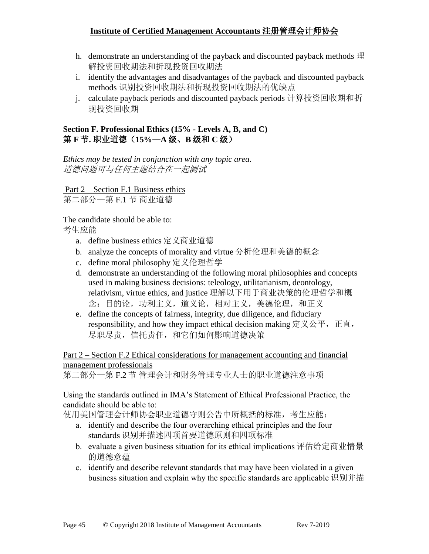- h. demonstrate an understanding of the payback and discounted payback methods 理 解投资回收期法和折现投资回收期法
- i. identify the advantages and disadvantages of the payback and discounted payback methods 识别投资回收期法和折现投资回收期法的优缺点
- j. calculate payback periods and discounted payback periods 计算投资回收期和折 现投资回收期

### **Section F. Professional Ethics (15% - Levels A, B, and C)** 第 **F** 节**.** 职业道德(**15%**—**A** 级、**B** 级和 **C** 级)

*Ethics may be tested in conjunction with any topic area*. 道德问题可与任何主题结合在一起测试

Part 2 – Section F.1 Business ethics 第二部分—第 F.1 节 商业道德

The candidate should be able to: 考生应能

- a. define business ethics 定义商业道德
- b. analyze the concepts of morality and virtue 分析伦理和美德的概念
- c. define moral philosophy 定义伦理哲学
- d. demonstrate an understanding of the following moral philosophies and concepts used in making business decisions: teleology, utilitarianism, deontology, relativism, virtue ethics, and justice 理解以下用于商业决策的伦理哲学和概 念:目的论,功利主义,道义论,相对主义,美德伦理,和正义
- e. define the concepts of fairness, integrity, due diligence, and fiduciary responsibility, and how they impact ethical decision making 定义公平, 正直, 尽职尽责,信托责任,和它们如何影响道德决策

Part 2 – Section F.2 Ethical considerations for management accounting and financial management professionals

第二部分—第 F.2 节 管理会计和财务管理专业人士的职业道德注意事项

Using the standards outlined in IMA's Statement of Ethical Professional Practice, the candidate should be able to:

使用美国管理会计师协会职业道德守则公告中所概括的标准,考生应能:

- a. identify and describe the four overarching ethical principles and the four standards 识别并描述四项首要道德原则和四项标准
- b. evaluate a given business situation for its ethical implications 评估给定商业情景 的道德意蕴
- c. identify and describe relevant standards that may have been violated in a given business situation and explain why the specific standards are applicable 识别并描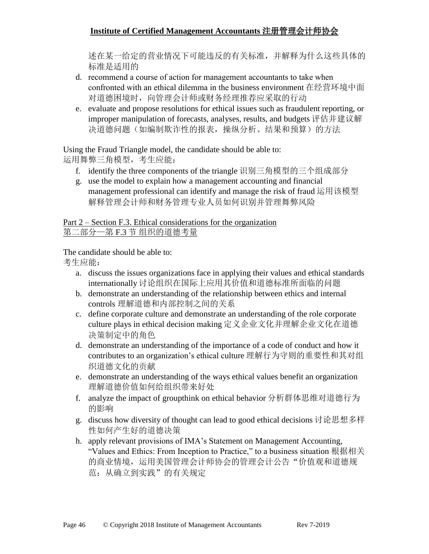述在某一给定的营业情况下可能违反的有关标准,并解释为什么这些具体的 标准是适用的

- d. recommend a course of action for management accountants to take when confronted with an ethical dilemma in the business environment 在经营环境中面 对道德困境时,向管理会计师或财务经理推荐应采取的行动
- e. evaluate and propose resolutions for ethical issues such as fraudulent reporting, or improper manipulation of forecasts, analyses, results, and budgets 评估并建议解 决道德问题(如编制欺诈性的报表,操纵分析、结果和预算)的方法

Using the Fraud Triangle model, the candidate should be able to: 运用舞弊三角模型,考生应能:

- f. identify the three components of the triangle 识别三角模型的三个组成部分
- g. use the model to explain how a management accounting and financial management professional can identify and manage the risk of fraud 运用该模型 解释管理会计师和财务管理专业人员如何识别并管理舞弊风险

Part 2 – Section F.3. Ethical considerations for the organization

第二部分—第 F.3 节 组织的道德考量

The candidate should be able to:

- a. discuss the issues organizations face in applying their values and ethical standards internationally 讨论组织在国际上应用其价值和道德标准所面临的问题
- b. demonstrate an understanding of the relationship between ethics and internal controls 理解道德和内部控制之间的关系
- c. define corporate culture and demonstrate an understanding of the role corporate culture plays in ethical decision making 定义企业文化并理解企业文化在道德 决策制定中的角色
- d. demonstrate an understanding of the importance of a code of conduct and how it contributes to an organization's ethical culture 理解行为守则的重要性和其对组 织道德文化的贡献
- e. demonstrate an understanding of the ways ethical values benefit an organization 理解道德价值如何给组织带来好处
- f. analyze the impact of groupthink on ethical behavior 分析群体思维对道德行为 的影响
- g. discuss how diversity of thought can lead to good ethical decisions 讨论思想多样 性如何产生好的道德决策
- h. apply relevant provisions of IMA's Statement on Management Accounting, "Values and Ethics: From Inception to Practice," to a business situation 根据相关 的商业情境,运用美国管理会计师协会的管理会计公告"价值观和道德规 范:从确立到实践"的有关规定